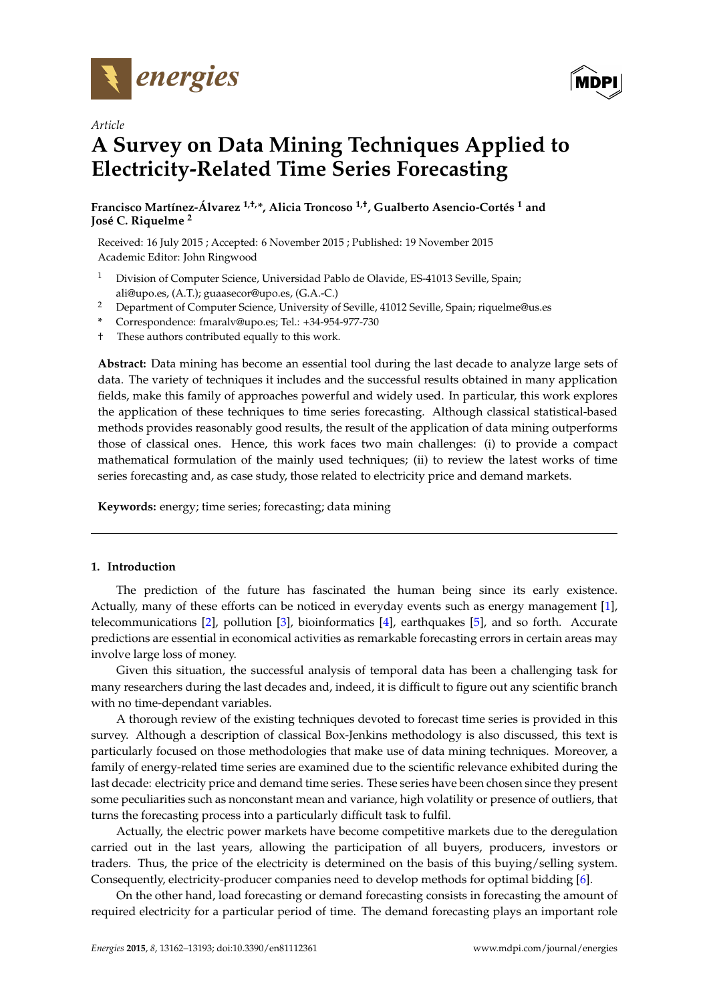

*Article*



# **A Survey on Data Mining Techniques Applied to Electricity-Related Time Series Forecasting**

**Francisco Martínez-Álvarez 1,†,\*, Alicia Troncoso 1,†, Gualberto Asencio-Cortés <sup>1</sup> and José C. Riquelme <sup>2</sup>**

Received: 16 July 2015 ; Accepted: 6 November 2015 ; Published: 19 November 2015 Academic Editor: John Ringwood

- <sup>1</sup> Division of Computer Science, Universidad Pablo de Olavide, ES-41013 Seville, Spain; ali@upo.es, (A.T.); guaasecor@upo.es, (G.A.-C.)
- <sup>2</sup> Department of Computer Science, University of Seville, 41012 Seville, Spain; riquelme@us.es
- **\*** Correspondence: fmaralv@upo.es; Tel.: +34-954-977-730
- † These authors contributed equally to this work.

**Abstract:** Data mining has become an essential tool during the last decade to analyze large sets of data. The variety of techniques it includes and the successful results obtained in many application fields, make this family of approaches powerful and widely used. In particular, this work explores the application of these techniques to time series forecasting. Although classical statistical-based methods provides reasonably good results, the result of the application of data mining outperforms those of classical ones. Hence, this work faces two main challenges: (i) to provide a compact mathematical formulation of the mainly used techniques; (ii) to review the latest works of time series forecasting and, as case study, those related to electricity price and demand markets.

**Keywords:** energy; time series; forecasting; data mining

# **1. Introduction**

The prediction of the future has fascinated the human being since its early existence. Actually, many of these efforts can be noticed in everyday events such as energy management [\[1\]](#page-26-0), telecommunications [\[2\]](#page-26-1), pollution [\[3\]](#page-26-2), bioinformatics [\[4\]](#page-26-3), earthquakes [\[5\]](#page-26-4), and so forth. Accurate predictions are essential in economical activities as remarkable forecasting errors in certain areas may involve large loss of money.

Given this situation, the successful analysis of temporal data has been a challenging task for many researchers during the last decades and, indeed, it is difficult to figure out any scientific branch with no time-dependant variables.

A thorough review of the existing techniques devoted to forecast time series is provided in this survey. Although a description of classical Box-Jenkins methodology is also discussed, this text is particularly focused on those methodologies that make use of data mining techniques. Moreover, a family of energy-related time series are examined due to the scientific relevance exhibited during the last decade: electricity price and demand time series. These series have been chosen since they present some peculiarities such as nonconstant mean and variance, high volatility or presence of outliers, that turns the forecasting process into a particularly difficult task to fulfil.

Actually, the electric power markets have become competitive markets due to the deregulation carried out in the last years, allowing the participation of all buyers, producers, investors or traders. Thus, the price of the electricity is determined on the basis of this buying/selling system. Consequently, electricity-producer companies need to develop methods for optimal bidding [\[6\]](#page-27-0).

On the other hand, load forecasting or demand forecasting consists in forecasting the amount of required electricity for a particular period of time. The demand forecasting plays an important role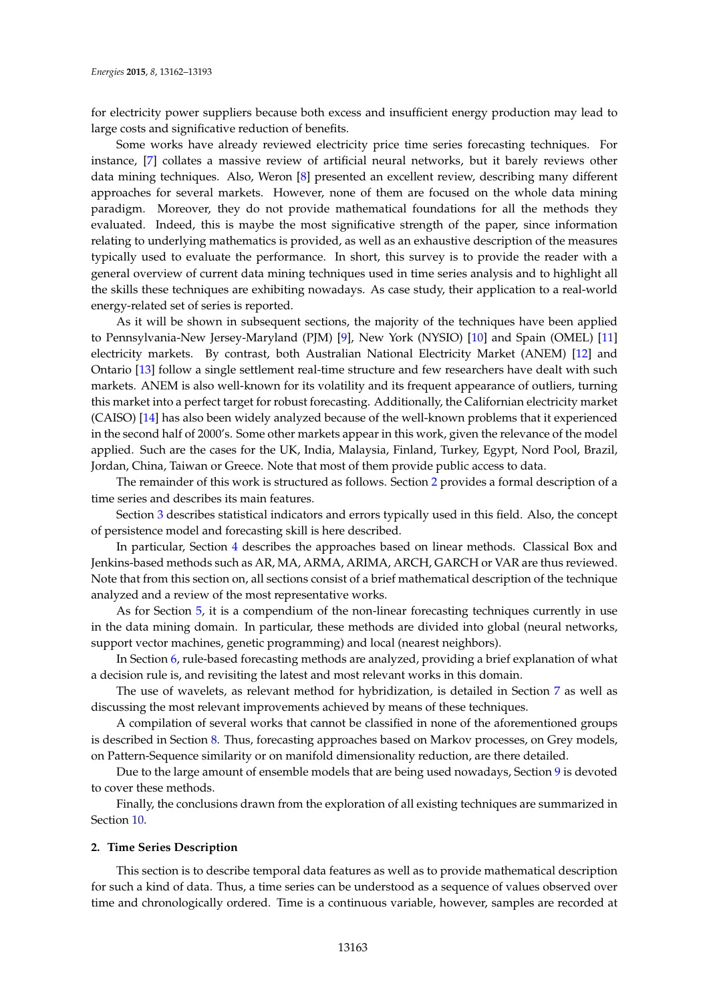for electricity power suppliers because both excess and insufficient energy production may lead to large costs and significative reduction of benefits.

Some works have already reviewed electricity price time series forecasting techniques. For instance, [\[7\]](#page-27-1) collates a massive review of artificial neural networks, but it barely reviews other data mining techniques. Also, Weron [\[8\]](#page-27-2) presented an excellent review, describing many different approaches for several markets. However, none of them are focused on the whole data mining paradigm. Moreover, they do not provide mathematical foundations for all the methods they evaluated. Indeed, this is maybe the most significative strength of the paper, since information relating to underlying mathematics is provided, as well as an exhaustive description of the measures typically used to evaluate the performance. In short, this survey is to provide the reader with a general overview of current data mining techniques used in time series analysis and to highlight all the skills these techniques are exhibiting nowadays. As case study, their application to a real-world energy-related set of series is reported.

As it will be shown in subsequent sections, the majority of the techniques have been applied to Pennsylvania-New Jersey-Maryland (PJM) [\[9\]](#page-27-3), New York (NYSIO) [\[10\]](#page-27-4) and Spain (OMEL) [\[11\]](#page-27-5) electricity markets. By contrast, both Australian National Electricity Market (ANEM) [\[12\]](#page-27-6) and Ontario [\[13\]](#page-27-7) follow a single settlement real-time structure and few researchers have dealt with such markets. ANEM is also well-known for its volatility and its frequent appearance of outliers, turning this market into a perfect target for robust forecasting. Additionally, the Californian electricity market (CAISO) [\[14\]](#page-27-8) has also been widely analyzed because of the well-known problems that it experienced in the second half of 2000's. Some other markets appear in this work, given the relevance of the model applied. Such are the cases for the UK, India, Malaysia, Finland, Turkey, Egypt, Nord Pool, Brazil, Jordan, China, Taiwan or Greece. Note that most of them provide public access to data.

The remainder of this work is structured as follows. Section [2](#page-1-0) provides a formal description of a time series and describes its main features.

Section [3](#page-3-0) describes statistical indicators and errors typically used in this field. Also, the concept of persistence model and forecasting skill is here described.

In particular, Section [4](#page-6-0) describes the approaches based on linear methods. Classical Box and Jenkins-based methods such as AR, MA, ARMA, ARIMA, ARCH, GARCH or VAR are thus reviewed. Note that from this section on, all sections consist of a brief mathematical description of the technique analyzed and a review of the most representative works.

As for Section [5,](#page-10-0) it is a compendium of the non-linear forecasting techniques currently in use in the data mining domain. In particular, these methods are divided into global (neural networks, support vector machines, genetic programming) and local (nearest neighbors).

In Section [6,](#page-20-0) rule-based forecasting methods are analyzed, providing a brief explanation of what a decision rule is, and revisiting the latest and most relevant works in this domain.

The use of wavelets, as relevant method for hybridization, is detailed in Section [7](#page-22-0) as well as discussing the most relevant improvements achieved by means of these techniques.

A compilation of several works that cannot be classified in none of the aforementioned groups is described in Section [8.](#page-24-0) Thus, forecasting approaches based on Markov processes, on Grey models, on Pattern-Sequence similarity or on manifold dimensionality reduction, are there detailed.

Due to the large amount of ensemble models that are being used nowadays, Section [9](#page-25-0) is devoted to cover these methods.

Finally, the conclusions drawn from the exploration of all existing techniques are summarized in Section [10.](#page-26-5)

#### <span id="page-1-0"></span>**2. Time Series Description**

This section is to describe temporal data features as well as to provide mathematical description for such a kind of data. Thus, a time series can be understood as a sequence of values observed over time and chronologically ordered. Time is a continuous variable, however, samples are recorded at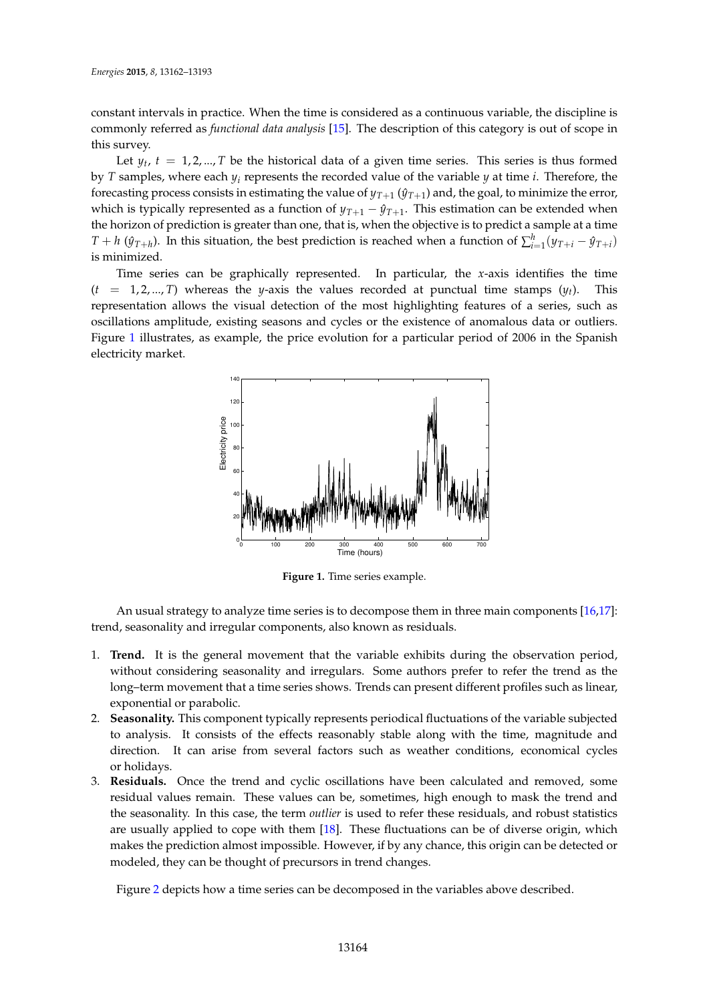constant intervals in practice. When the time is considered as a continuous variable, the discipline is commonly referred as *functional data analysis* [\[15\]](#page-27-9). The description of this category is out of scope in this survey.

Let  $y_t$ ,  $t = 1, 2, ..., T$  be the historical data of a given time series. This series is thus formed by *T* samples, where each *y<sup>i</sup>* represents the recorded value of the variable *y* at time *i*. Therefore, the forecasting process consists in estimating the value of  $y_{T+1}$  ( $\hat{y}_{T+1}$ ) and, the goal, to minimize the error, which is typically represented as a function of  $y_{T+1} - \hat{y}_{T+1}$ . This estimation can be extended when the horizon of prediction is greater than one, that is, when the objective is to predict a sample at a time *T* + *h* ( $\hat{y}_{T+h}$ ). In this situation, the best prediction is reached when a function of ∑ $_{i=1}^h(y_{T+i} - \hat{y}_{T+i})$ is minimized.

<span id="page-2-0"></span>Time series can be graphically represented. In particular, the *x*-axis identifies the time  $(t = 1, 2, ..., T)$  whereas the *y*-axis the values recorded at punctual time stamps  $(y_t)$ . This representation allows the visual detection of the most highlighting features of a series, such as oscillations amplitude, existing seasons and cycles or the existence of anomalous data or outliers. Figure [1](#page-2-0) illustrates, as example, the price evolution for a particular period of 2006 in the Spanish electricity market.



**Figure 1.** Time series example.

An usual strategy to analyze time series is to decompose them in three main components [\[16](#page-27-10)[,17\]](#page-27-11): trend, seasonality and irregular components, also known as residuals.

- 1. **Trend.** It is the general movement that the variable exhibits during the observation period, without considering seasonality and irregulars. Some authors prefer to refer the trend as the long–term movement that a time series shows. Trends can present different profiles such as linear, exponential or parabolic.
- 2. **Seasonality.** This component typically represents periodical fluctuations of the variable subjected to analysis. It consists of the effects reasonably stable along with the time, magnitude and direction. It can arise from several factors such as weather conditions, economical cycles or holidays.
- 3. **Residuals.** Once the trend and cyclic oscillations have been calculated and removed, some residual values remain. These values can be, sometimes, high enough to mask the trend and the seasonality. In this case, the term *outlier* is used to refer these residuals, and robust statistics are usually applied to cope with them [\[18\]](#page-27-12). These fluctuations can be of diverse origin, which makes the prediction almost impossible. However, if by any chance, this origin can be detected or modeled, they can be thought of precursors in trend changes.

Figure [2](#page-3-1) depicts how a time series can be decomposed in the variables above described.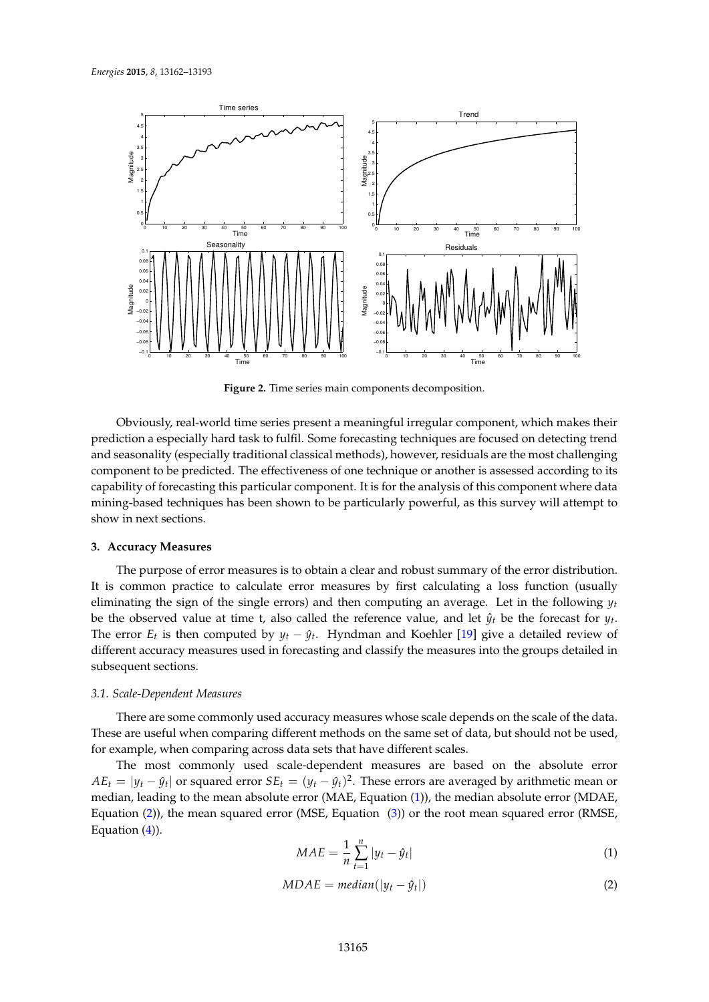<span id="page-3-1"></span>

**Figure 2.** Time series main components decomposition.

Obviously, real-world time series present a meaningful irregular component, which makes their prediction a especially hard task to fulfil. Some forecasting techniques are focused on detecting trend and seasonality (especially traditional classical methods), however, residuals are the most challenging component to be predicted. The effectiveness of one technique or another is assessed according to its capability of forecasting this particular component. It is for the analysis of this component where data mining-based techniques has been shown to be particularly powerful, as this survey will attempt to show in next sections.

#### <span id="page-3-0"></span>**3. Accuracy Measures**

The purpose of error measures is to obtain a clear and robust summary of the error distribution. It is common practice to calculate error measures by first calculating a loss function (usually eliminating the sign of the single errors) and then computing an average. Let in the following  $y_t$ be the observed value at time t, also called the reference value, and let  $\hat{y}_t$  be the forecast for  $y_t$ . The error  $E_t$  is then computed by  $y_t - \hat{y}_t$ . Hyndman and Koehler [\[19\]](#page-27-13) give a detailed review of different accuracy measures used in forecasting and classify the measures into the groups detailed in subsequent sections.

# *3.1. Scale-Dependent Measures*

There are some commonly used accuracy measures whose scale depends on the scale of the data. These are useful when comparing different methods on the same set of data, but should not be used, for example, when comparing across data sets that have different scales.

The most commonly used scale-dependent measures are based on the absolute error  $AE_t = |y_t - \hat{y}_t|$  or squared error  $SE_t = (y_t - \hat{y}_t)^2$ . These errors are averaged by arithmetic mean or median, leading to the mean absolute error (MAE, Equation [\(1\)](#page-3-2)), the median absolute error (MDAE, Equation [\(2\)](#page-3-3)), the mean squared error (MSE, Equation [\(3\)](#page-4-0)) or the root mean squared error (RMSE, Equation  $(4)$ ).

<span id="page-3-2"></span>
$$
MAE = \frac{1}{n} \sum_{t=1}^{n} |y_t - \hat{y}_t|
$$
 (1)

<span id="page-3-3"></span>
$$
MDAE = median(|y_t - \hat{y}_t|)
$$
\n(2)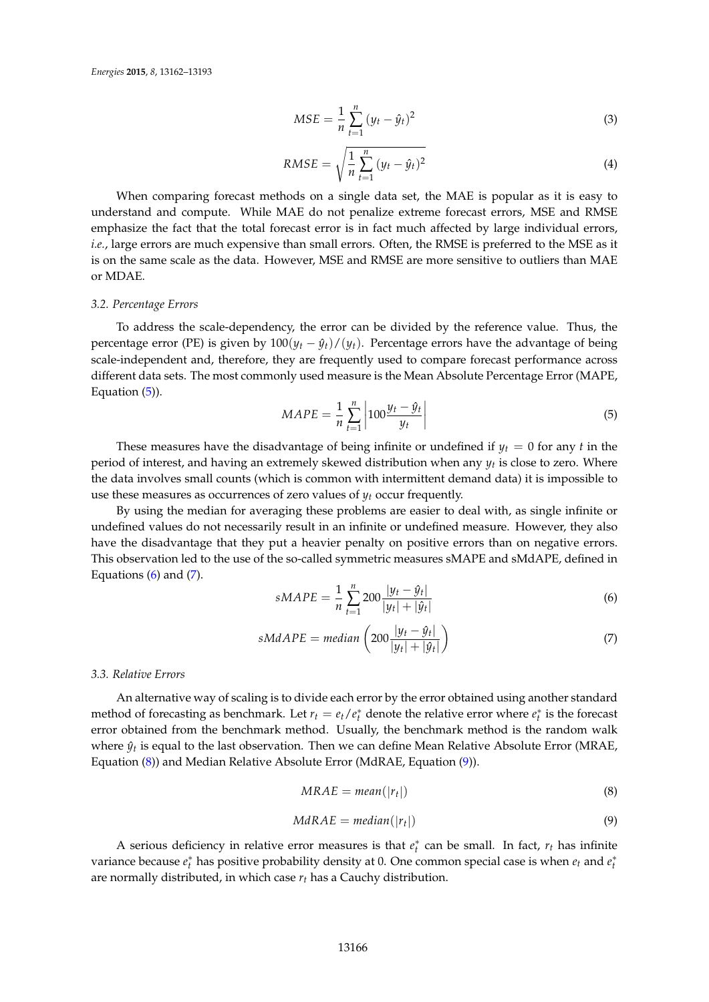<span id="page-4-0"></span>
$$
MSE = \frac{1}{n} \sum_{t=1}^{n} (y_t - \hat{y}_t)^2
$$
 (3)

<span id="page-4-1"></span>
$$
RMSE = \sqrt{\frac{1}{n} \sum_{t=1}^{n} (y_t - \hat{y}_t)^2}
$$
 (4)

When comparing forecast methods on a single data set, the MAE is popular as it is easy to understand and compute. While MAE do not penalize extreme forecast errors, MSE and RMSE emphasize the fact that the total forecast error is in fact much affected by large individual errors, *i.e.*, large errors are much expensive than small errors. Often, the RMSE is preferred to the MSE as it is on the same scale as the data. However, MSE and RMSE are more sensitive to outliers than MAE or MDAE.

# *3.2. Percentage Errors*

To address the scale-dependency, the error can be divided by the reference value. Thus, the percentage error (PE) is given by  $100(y_t - \hat{y}_t)/(y_t)$ . Percentage errors have the advantage of being scale-independent and, therefore, they are frequently used to compare forecast performance across different data sets. The most commonly used measure is the Mean Absolute Percentage Error (MAPE, Equation [\(5\)](#page-4-2)).

<span id="page-4-2"></span>
$$
MAPE = \frac{1}{n} \sum_{t=1}^{n} \left| 100 \frac{y_t - \hat{y}_t}{y_t} \right| \tag{5}
$$

These measures have the disadvantage of being infinite or undefined if  $y_t = 0$  for any *t* in the period of interest, and having an extremely skewed distribution when any *y<sup>t</sup>* is close to zero. Where the data involves small counts (which is common with intermittent demand data) it is impossible to use these measures as occurrences of zero values of *y<sup>t</sup>* occur frequently.

By using the median for averaging these problems are easier to deal with, as single infinite or undefined values do not necessarily result in an infinite or undefined measure. However, they also have the disadvantage that they put a heavier penalty on positive errors than on negative errors. This observation led to the use of the so-called symmetric measures sMAPE and sMdAPE, defined in Equations  $(6)$  and  $(7)$ .

<span id="page-4-3"></span>
$$
sMAPE = \frac{1}{n} \sum_{t=1}^{n} 200 \frac{|y_t - \hat{y}_t|}{|y_t| + |\hat{y}_t|}
$$
(6)

<span id="page-4-4"></span>
$$
sMdAPE = median\left(200\frac{|y_t - \hat{y}_t|}{|y_t| + |\hat{y}_t|}\right)
$$
\n(7)

## *3.3. Relative Errors*

An alternative way of scaling is to divide each error by the error obtained using another standard method of forecasting as benchmark. Let  $r_t = e_t/e_t^*$  denote the relative error where  $e_t^*$  is the forecast error obtained from the benchmark method. Usually, the benchmark method is the random walk where  $\hat{y}_t$  is equal to the last observation. Then we can define Mean Relative Absolute Error (MRAE, Equation [\(8\)](#page-4-5)) and Median Relative Absolute Error (MdRAE, Equation [\(9\)](#page-4-6)).

<span id="page-4-5"></span>
$$
MRAE = mean(|r_t|) \tag{8}
$$

<span id="page-4-6"></span>
$$
MdRAE = median(|r_t|)
$$
 (9)

A serious deficiency in relative error measures is that  $e_t^*$  can be small. In fact,  $r_t$  has infinite variance because  $e_t^*$  has positive probability density at 0. One common special case is when  $e_t$  and  $e_t^*$ are normally distributed, in which case *r<sup>t</sup>* has a Cauchy distribution.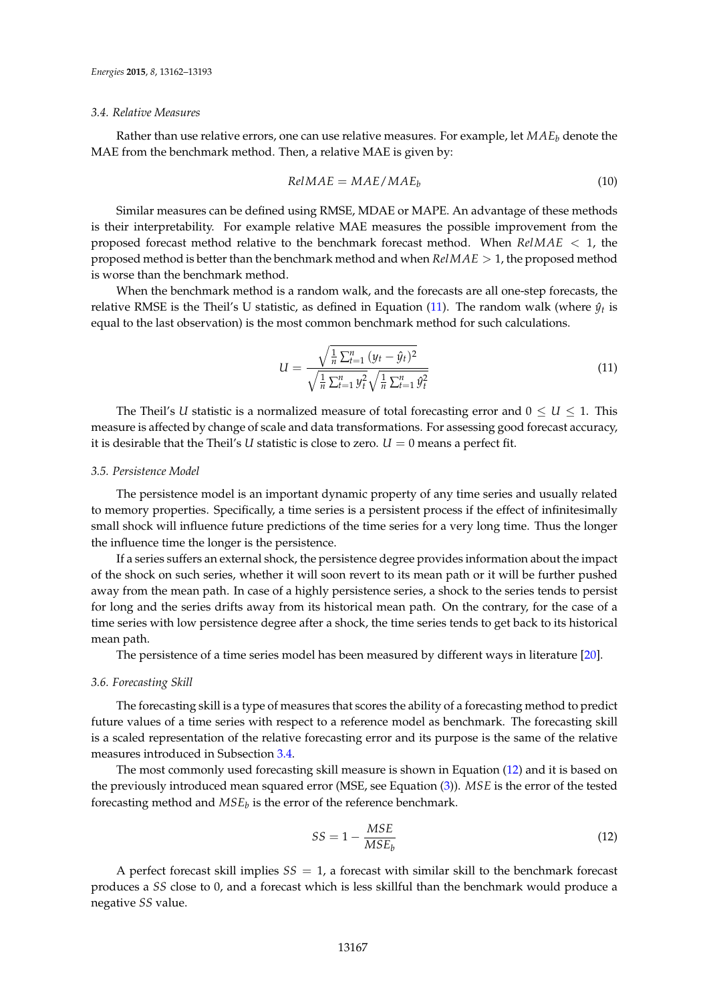# <span id="page-5-1"></span>*3.4. Relative Measures*

Rather than use relative errors, one can use relative measures. For example, let *MAE<sup>b</sup>* denote the MAE from the benchmark method. Then, a relative MAE is given by:

$$
RelMAE = MAE/MAE_b \tag{10}
$$

Similar measures can be defined using RMSE, MDAE or MAPE. An advantage of these methods is their interpretability. For example relative MAE measures the possible improvement from the proposed forecast method relative to the benchmark forecast method. When *RelMAE* < 1, the proposed method is better than the benchmark method and when *RelMAE* > 1, the proposed method is worse than the benchmark method.

When the benchmark method is a random walk, and the forecasts are all one-step forecasts, the relative RMSE is the Theil's U statistic, as defined in Equation [\(11\)](#page-5-0). The random walk (where  $\hat{y}_t$  is equal to the last observation) is the most common benchmark method for such calculations.

<span id="page-5-0"></span>
$$
U = \frac{\sqrt{\frac{1}{n} \sum_{t=1}^{n} (y_t - \hat{y}_t)^2}}{\sqrt{\frac{1}{n} \sum_{t=1}^{n} y_t^2} \sqrt{\frac{1}{n} \sum_{t=1}^{n} \hat{y}_t^2}}
$$
(11)

The Theil's *U* statistic is a normalized measure of total forecasting error and  $0 \leq U \leq 1$ . This measure is affected by change of scale and data transformations. For assessing good forecast accuracy, it is desirable that the Theil's *U* statistic is close to zero.  $U = 0$  means a perfect fit.

#### *3.5. Persistence Model*

The persistence model is an important dynamic property of any time series and usually related to memory properties. Specifically, a time series is a persistent process if the effect of infinitesimally small shock will influence future predictions of the time series for a very long time. Thus the longer the influence time the longer is the persistence.

If a series suffers an external shock, the persistence degree provides information about the impact of the shock on such series, whether it will soon revert to its mean path or it will be further pushed away from the mean path. In case of a highly persistence series, a shock to the series tends to persist for long and the series drifts away from its historical mean path. On the contrary, for the case of a time series with low persistence degree after a shock, the time series tends to get back to its historical mean path.

The persistence of a time series model has been measured by different ways in literature [\[20\]](#page-27-14).

#### *3.6. Forecasting Skill*

The forecasting skill is a type of measures that scores the ability of a forecasting method to predict future values of a time series with respect to a reference model as benchmark. The forecasting skill is a scaled representation of the relative forecasting error and its purpose is the same of the relative measures introduced in Subsection [3.4.](#page-5-1)

The most commonly used forecasting skill measure is shown in Equation [\(12\)](#page-5-2) and it is based on the previously introduced mean squared error (MSE, see Equation [\(3\)](#page-4-0)). *MSE* is the error of the tested forecasting method and  $MSE_b$  is the error of the reference benchmark.

<span id="page-5-2"></span>
$$
SS = 1 - \frac{MSE}{MSE_b} \tag{12}
$$

A perfect forecast skill implies  $SS = 1$ , a forecast with similar skill to the benchmark forecast produces a *SS* close to 0, and a forecast which is less skillful than the benchmark would produce a negative *SS* value.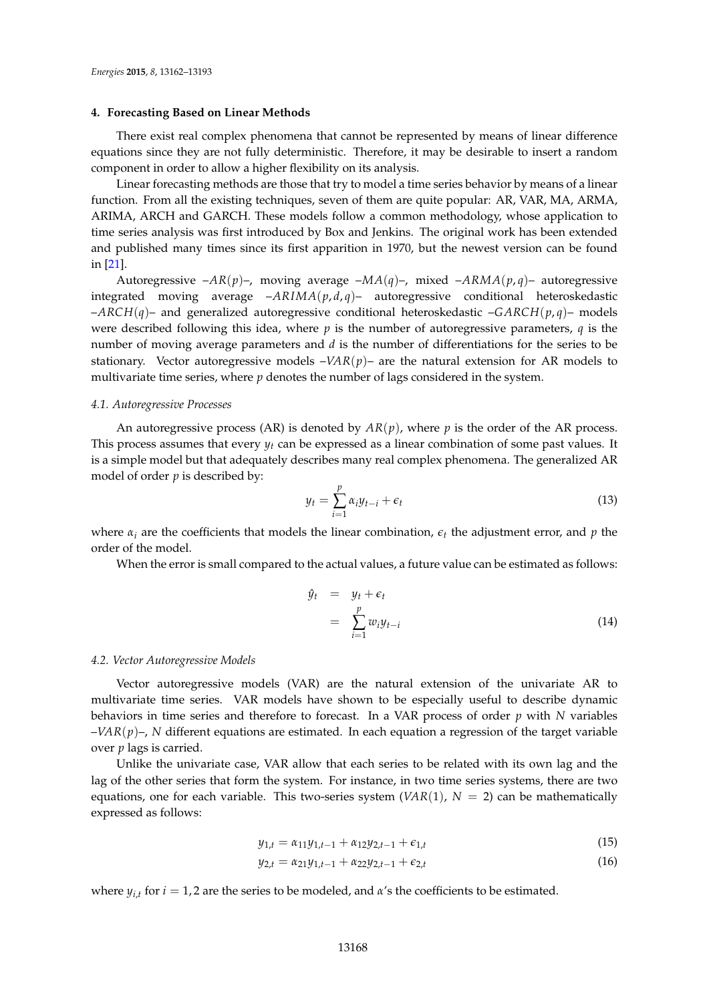## <span id="page-6-0"></span>**4. Forecasting Based on Linear Methods**

There exist real complex phenomena that cannot be represented by means of linear difference equations since they are not fully deterministic. Therefore, it may be desirable to insert a random component in order to allow a higher flexibility on its analysis.

Linear forecasting methods are those that try to model a time series behavior by means of a linear function. From all the existing techniques, seven of them are quite popular: AR, VAR, MA, ARMA, ARIMA, ARCH and GARCH. These models follow a common methodology, whose application to time series analysis was first introduced by Box and Jenkins. The original work has been extended and published many times since its first apparition in 1970, but the newest version can be found in [\[21\]](#page-27-15).

Autoregressive –*AR*(*p*)–, moving average –*MA*(*q*)–, mixed –*ARMA*(*p*, *q*)– autoregressive integrated moving average  $-ARIMA(p,d,q)$ – autoregressive conditional heteroskedastic –*ARCH*(*q*)– and generalized autoregressive conditional heteroskedastic –*GARCH*(*p*, *q*)– models were described following this idea, where *p* is the number of autoregressive parameters, *q* is the number of moving average parameters and *d* is the number of differentiations for the series to be stationary. Vector autoregressive models  $-VAR(p)$ – are the natural extension for AR models to multivariate time series, where  $p$  denotes the number of lags considered in the system.

#### *4.1. Autoregressive Processes*

An autoregressive process (AR) is denoted by  $AR(p)$ , where p is the order of the AR process. This process assumes that every  $y_t$  can be expressed as a linear combination of some past values. It is a simple model but that adequately describes many real complex phenomena. The generalized AR model of order *p* is described by:

$$
y_t = \sum_{i=1}^p \alpha_i y_{t-i} + \epsilon_t \tag{13}
$$

where  $\alpha_i$  are the coefficients that models the linear combination,  $\epsilon_t$  the adjustment error, and  $p$  the order of the model.

When the error is small compared to the actual values, a future value can be estimated as follows:

$$
\hat{y}_t = y_t + \epsilon_t
$$
\n
$$
= \sum_{i=1}^p w_i y_{t-i} \tag{14}
$$

## *4.2. Vector Autoregressive Models*

Vector autoregressive models (VAR) are the natural extension of the univariate AR to multivariate time series. VAR models have shown to be especially useful to describe dynamic behaviors in time series and therefore to forecast. In a VAR process of order *p* with *N* variables –*VAR*(*p*)–, *N* different equations are estimated. In each equation a regression of the target variable over *p* lags is carried.

Unlike the univariate case, VAR allow that each series to be related with its own lag and the lag of the other series that form the system. For instance, in two time series systems, there are two equations, one for each variable. This two-series system  $(VAR(1), N = 2)$  can be mathematically expressed as follows:

$$
y_{1,t} = \alpha_{11} y_{1,t-1} + \alpha_{12} y_{2,t-1} + \epsilon_{1,t} \tag{15}
$$

$$
y_{2,t} = \alpha_{21} y_{1,t-1} + \alpha_{22} y_{2,t-1} + \epsilon_{2,t}
$$
\n(16)

where  $y_{i,t}$  for  $i = 1, 2$  are the series to be modeled, and  $\alpha$ 's the coefficients to be estimated.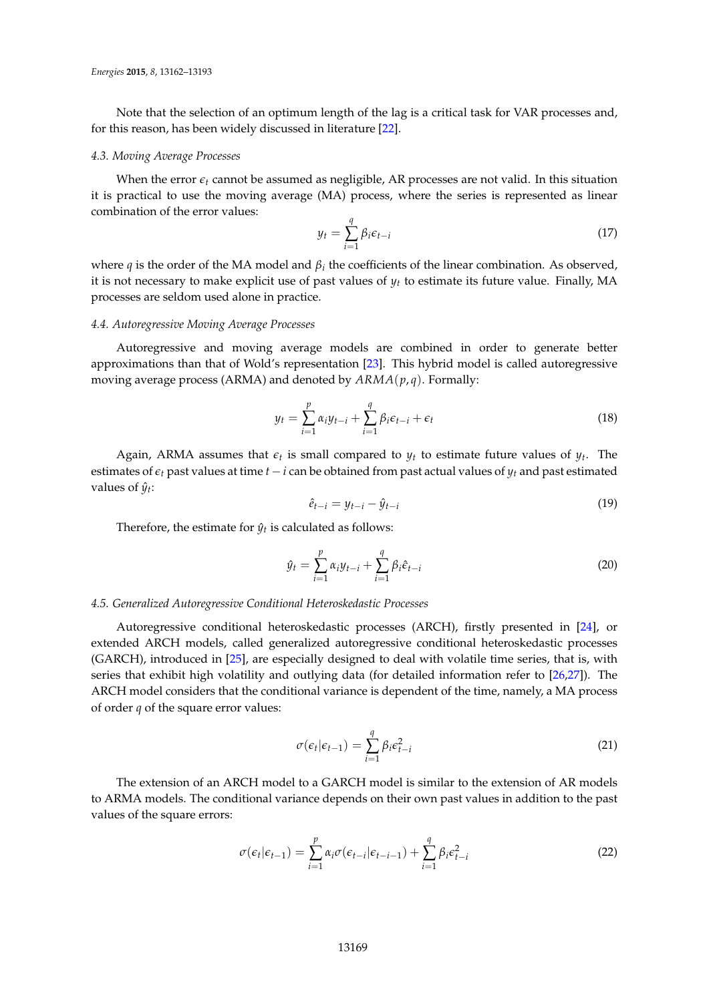Note that the selection of an optimum length of the lag is a critical task for VAR processes and, for this reason, has been widely discussed in literature [\[22\]](#page-27-16).

## *4.3. Moving Average Processes*

When the error  $\epsilon_t$  cannot be assumed as negligible, AR processes are not valid. In this situation it is practical to use the moving average (MA) process, where the series is represented as linear combination of the error values:

$$
y_t = \sum_{i=1}^q \beta_i \epsilon_{t-i} \tag{17}
$$

where *q* is the order of the MA model and  $\beta_i$  the coefficients of the linear combination. As observed, it is not necessary to make explicit use of past values of *y<sup>t</sup>* to estimate its future value. Finally, MA processes are seldom used alone in practice.

## *4.4. Autoregressive Moving Average Processes*

Autoregressive and moving average models are combined in order to generate better approximations than that of Wold's representation [\[23\]](#page-27-17). This hybrid model is called autoregressive moving average process (ARMA) and denoted by *ARMA*(*p*, *q*). Formally:

$$
y_t = \sum_{i=1}^p \alpha_i y_{t-i} + \sum_{i=1}^q \beta_i \epsilon_{t-i} + \epsilon_t
$$
\n(18)

Again, ARMA assumes that  $\epsilon_t$  is small compared to  $y_t$  to estimate future values of  $y_t$ . The estimates of  $\epsilon_t$  past values at time  $t - i$  can be obtained from past actual values of  $y_t$  and past estimated values of  $\hat{y}_t$ :

$$
\hat{e}_{t-i} = y_{t-i} - \hat{y}_{t-i} \tag{19}
$$

Therefore, the estimate for  $\hat{y}_t$  is calculated as follows:

$$
\hat{y}_t = \sum_{i=1}^p \alpha_i y_{t-i} + \sum_{i=1}^q \beta_i \hat{e}_{t-i}
$$
\n(20)

## *4.5. Generalized Autoregressive Conditional Heteroskedastic Processes*

Autoregressive conditional heteroskedastic processes (ARCH), firstly presented in [\[24\]](#page-27-18), or extended ARCH models, called generalized autoregressive conditional heteroskedastic processes (GARCH), introduced in [\[25\]](#page-27-19), are especially designed to deal with volatile time series, that is, with series that exhibit high volatility and outlying data (for detailed information refer to [\[26](#page-27-20)[,27\]](#page-27-21)). The ARCH model considers that the conditional variance is dependent of the time, namely, a MA process of order *q* of the square error values:

$$
\sigma(\epsilon_t|\epsilon_{t-1}) = \sum_{i=1}^q \beta_i \epsilon_{t-i}^2
$$
\n(21)

The extension of an ARCH model to a GARCH model is similar to the extension of AR models to ARMA models. The conditional variance depends on their own past values in addition to the past values of the square errors:

$$
\sigma(\epsilon_t|\epsilon_{t-1}) = \sum_{i=1}^p \alpha_i \sigma(\epsilon_{t-i}|\epsilon_{t-i-1}) + \sum_{i=1}^q \beta_i \epsilon_{t-i}^2
$$
\n(22)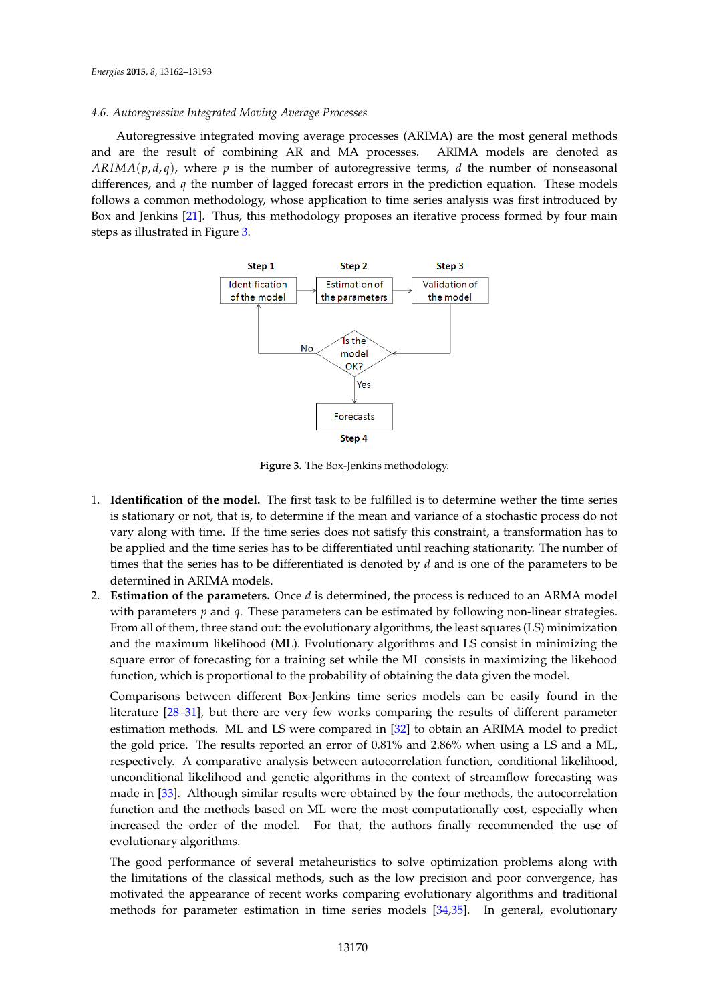# *4.6. Autoregressive Integrated Moving Average Processes*

Autoregressive integrated moving average processes (ARIMA) are the most general methods and are the result of combining AR and MA processes. ARIMA models are denoted as  $ARIMA(p,d,q)$ , where p is the number of autoregressive terms, d the number of nonseasonal differences, and *q* the number of lagged forecast errors in the prediction equation. These models follows a common methodology, whose application to time series analysis was first introduced by Box and Jenkins [\[21\]](#page-27-15). Thus, this methodology proposes an iterative process formed by four main steps as illustrated in Figure [3.](#page-8-0)

<span id="page-8-0"></span>

**Figure 3.** The Box-Jenkins methodology.

- 1. **Identification of the model.** The first task to be fulfilled is to determine wether the time series is stationary or not, that is, to determine if the mean and variance of a stochastic process do not vary along with time. If the time series does not satisfy this constraint, a transformation has to be applied and the time series has to be differentiated until reaching stationarity. The number of times that the series has to be differentiated is denoted by *d* and is one of the parameters to be determined in ARIMA models.
- 2. **Estimation of the parameters.** Once *d* is determined, the process is reduced to an ARMA model with parameters *p* and *q*. These parameters can be estimated by following non-linear strategies. From all of them, three stand out: the evolutionary algorithms, the least squares (LS) minimization and the maximum likelihood (ML). Evolutionary algorithms and LS consist in minimizing the square error of forecasting for a training set while the ML consists in maximizing the likehood function, which is proportional to the probability of obtaining the data given the model.

Comparisons between different Box-Jenkins time series models can be easily found in the literature [\[28](#page-27-22)[–31\]](#page-27-23), but there are very few works comparing the results of different parameter estimation methods. ML and LS were compared in [\[32\]](#page-27-24) to obtain an ARIMA model to predict the gold price. The results reported an error of 0.81% and 2.86% when using a LS and a ML, respectively. A comparative analysis between autocorrelation function, conditional likelihood, unconditional likelihood and genetic algorithms in the context of streamflow forecasting was made in [\[33\]](#page-27-25). Although similar results were obtained by the four methods, the autocorrelation function and the methods based on ML were the most computationally cost, especially when increased the order of the model. For that, the authors finally recommended the use of evolutionary algorithms.

The good performance of several metaheuristics to solve optimization problems along with the limitations of the classical methods, such as the low precision and poor convergence, has motivated the appearance of recent works comparing evolutionary algorithms and traditional methods for parameter estimation in time series models [\[34,](#page-27-26)[35\]](#page-27-27). In general, evolutionary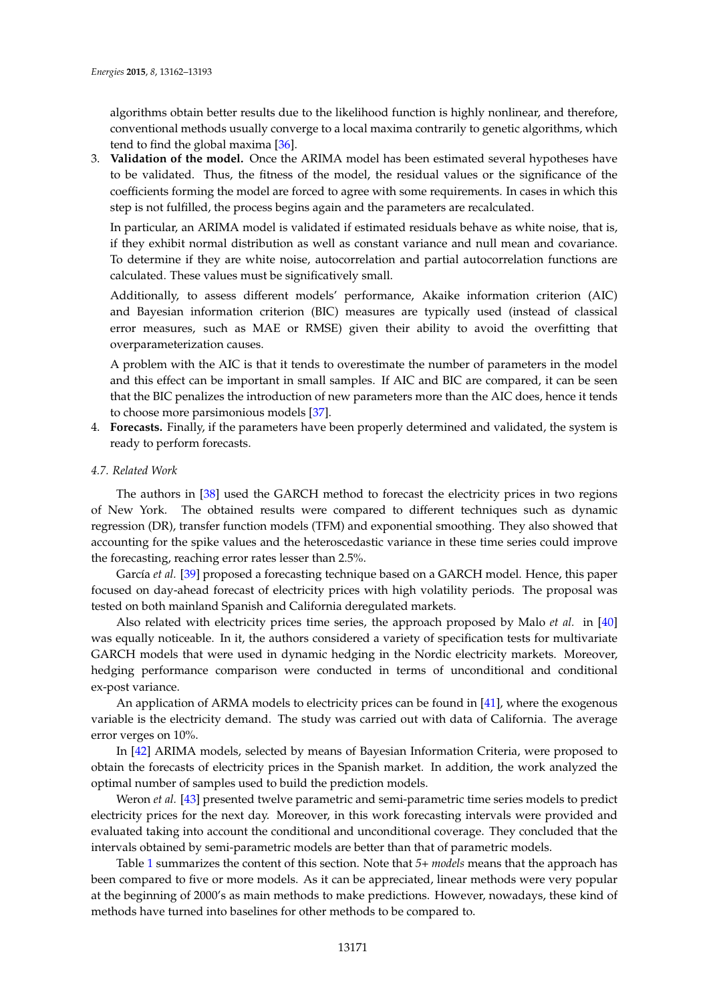algorithms obtain better results due to the likelihood function is highly nonlinear, and therefore, conventional methods usually converge to a local maxima contrarily to genetic algorithms, which tend to find the global maxima [\[36\]](#page-27-28).

3. **Validation of the model.** Once the ARIMA model has been estimated several hypotheses have to be validated. Thus, the fitness of the model, the residual values or the significance of the coefficients forming the model are forced to agree with some requirements. In cases in which this step is not fulfilled, the process begins again and the parameters are recalculated.

In particular, an ARIMA model is validated if estimated residuals behave as white noise, that is, if they exhibit normal distribution as well as constant variance and null mean and covariance. To determine if they are white noise, autocorrelation and partial autocorrelation functions are calculated. These values must be significatively small.

Additionally, to assess different models' performance, Akaike information criterion (AIC) and Bayesian information criterion (BIC) measures are typically used (instead of classical error measures, such as MAE or RMSE) given their ability to avoid the overfitting that overparameterization causes.

A problem with the AIC is that it tends to overestimate the number of parameters in the model and this effect can be important in small samples. If AIC and BIC are compared, it can be seen that the BIC penalizes the introduction of new parameters more than the AIC does, hence it tends to choose more parsimonious models [\[37\]](#page-28-0).

- 4. **Forecasts.** Finally, if the parameters have been properly determined and validated, the system is ready to perform forecasts.
- *4.7. Related Work*

The authors in [\[38\]](#page-28-1) used the GARCH method to forecast the electricity prices in two regions of New York. The obtained results were compared to different techniques such as dynamic regression (DR), transfer function models (TFM) and exponential smoothing. They also showed that accounting for the spike values and the heteroscedastic variance in these time series could improve the forecasting, reaching error rates lesser than 2.5%.

García *et al.* [\[39\]](#page-28-2) proposed a forecasting technique based on a GARCH model. Hence, this paper focused on day-ahead forecast of electricity prices with high volatility periods. The proposal was tested on both mainland Spanish and California deregulated markets.

Also related with electricity prices time series, the approach proposed by Malo *et al.* in [\[40\]](#page-28-3) was equally noticeable. In it, the authors considered a variety of specification tests for multivariate GARCH models that were used in dynamic hedging in the Nordic electricity markets. Moreover, hedging performance comparison were conducted in terms of unconditional and conditional ex-post variance.

An application of ARMA models to electricity prices can be found in [\[41\]](#page-28-4), where the exogenous variable is the electricity demand. The study was carried out with data of California. The average error verges on 10%.

In [\[42\]](#page-28-5) ARIMA models, selected by means of Bayesian Information Criteria, were proposed to obtain the forecasts of electricity prices in the Spanish market. In addition, the work analyzed the optimal number of samples used to build the prediction models.

Weron *et al.* [\[43\]](#page-28-6) presented twelve parametric and semi-parametric time series models to predict electricity prices for the next day. Moreover, in this work forecasting intervals were provided and evaluated taking into account the conditional and unconditional coverage. They concluded that the intervals obtained by semi-parametric models are better than that of parametric models.

Table [1](#page-10-1) summarizes the content of this section. Note that *5+ models* means that the approach has been compared to five or more models. As it can be appreciated, linear methods were very popular at the beginning of 2000's as main methods to make predictions. However, nowadays, these kind of methods have turned into baselines for other methods to be compared to.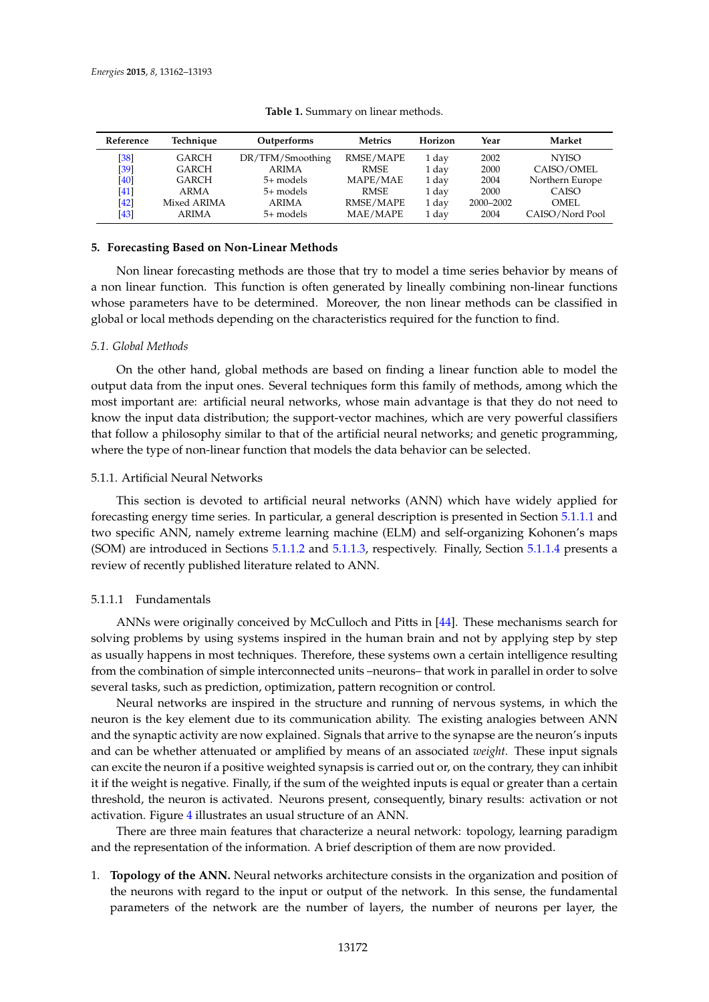<span id="page-10-1"></span>

| Reference | Technique    | Outperforms      |             | Horizon | Year      | Market          |
|-----------|--------------|------------------|-------------|---------|-----------|-----------------|
| [38]      | GARCH        | DR/TFM/Smoothing | RMSE/MAPE   | 1 day   | 2002      | <b>NYISO</b>    |
| [39]      | GARCH        | <b>ARIMA</b>     | RMSE        | 1 day   | 2000      | CAISO/OMEL      |
| [40]      | GARCH        | 5+ models        | MAPE/MAE    | 1 day   | 2004      | Northern Europe |
| [41]      | ARMA         | 5+ models        | <b>RMSE</b> | 1 day   | 2000      | CAISO           |
| [42]      | Mixed ARIMA  | ARIMA            | RMSE/MAPE   | 1 day   | 2000-2002 | OMEL.           |
| [43]      | <b>ARIMA</b> | 5+ models        | MAE/MAPE    | 1 day   | 2004      | CAISO/Nord Pool |

**Table 1.** Summary on linear methods.

## <span id="page-10-0"></span>**5. Forecasting Based on Non-Linear Methods**

Non linear forecasting methods are those that try to model a time series behavior by means of a non linear function. This function is often generated by lineally combining non-linear functions whose parameters have to be determined. Moreover, the non linear methods can be classified in global or local methods depending on the characteristics required for the function to find.

# *5.1. Global Methods*

On the other hand, global methods are based on finding a linear function able to model the output data from the input ones. Several techniques form this family of methods, among which the most important are: artificial neural networks, whose main advantage is that they do not need to know the input data distribution; the support-vector machines, which are very powerful classifiers that follow a philosophy similar to that of the artificial neural networks; and genetic programming, where the type of non-linear function that models the data behavior can be selected.

# 5.1.1. Artificial Neural Networks

This section is devoted to artificial neural networks (ANN) which have widely applied for forecasting energy time series. In particular, a general description is presented in Section [5.1.1.1](#page-10-2) and two specific ANN, namely extreme learning machine (ELM) and self-organizing Kohonen's maps (SOM) are introduced in Sections [5.1.1.2](#page-11-0) and [5.1.1.3,](#page-12-0) respectively. Finally, Section [5.1.1.4](#page-12-1) presents a review of recently published literature related to ANN.

# <span id="page-10-2"></span>5.1.1.1 Fundamentals

ANNs were originally conceived by McCulloch and Pitts in [\[44\]](#page-28-7). These mechanisms search for solving problems by using systems inspired in the human brain and not by applying step by step as usually happens in most techniques. Therefore, these systems own a certain intelligence resulting from the combination of simple interconnected units –neurons– that work in parallel in order to solve several tasks, such as prediction, optimization, pattern recognition or control.

Neural networks are inspired in the structure and running of nervous systems, in which the neuron is the key element due to its communication ability. The existing analogies between ANN and the synaptic activity are now explained. Signals that arrive to the synapse are the neuron's inputs and can be whether attenuated or amplified by means of an associated *weight.* These input signals can excite the neuron if a positive weighted synapsis is carried out or, on the contrary, they can inhibit it if the weight is negative. Finally, if the sum of the weighted inputs is equal or greater than a certain threshold, the neuron is activated. Neurons present, consequently, binary results: activation or not activation. Figure [4](#page-11-1) illustrates an usual structure of an ANN.

There are three main features that characterize a neural network: topology, learning paradigm and the representation of the information. A brief description of them are now provided.

1. **Topology of the ANN.** Neural networks architecture consists in the organization and position of the neurons with regard to the input or output of the network. In this sense, the fundamental parameters of the network are the number of layers, the number of neurons per layer, the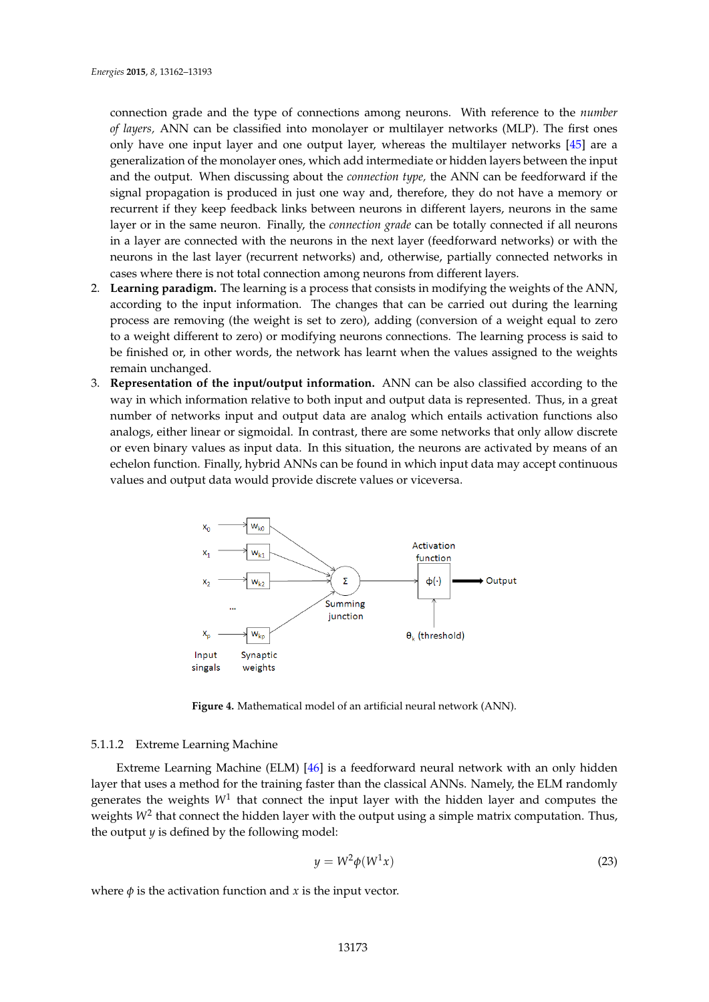connection grade and the type of connections among neurons. With reference to the *number of layers,* ANN can be classified into monolayer or multilayer networks (MLP). The first ones only have one input layer and one output layer, whereas the multilayer networks [\[45\]](#page-28-8) are a generalization of the monolayer ones, which add intermediate or hidden layers between the input and the output. When discussing about the *connection type,* the ANN can be feedforward if the signal propagation is produced in just one way and, therefore, they do not have a memory or recurrent if they keep feedback links between neurons in different layers, neurons in the same layer or in the same neuron. Finally, the *connection grade* can be totally connected if all neurons in a layer are connected with the neurons in the next layer (feedforward networks) or with the neurons in the last layer (recurrent networks) and, otherwise, partially connected networks in cases where there is not total connection among neurons from different layers.

- 2. **Learning paradigm.** The learning is a process that consists in modifying the weights of the ANN, according to the input information. The changes that can be carried out during the learning process are removing (the weight is set to zero), adding (conversion of a weight equal to zero to a weight different to zero) or modifying neurons connections. The learning process is said to be finished or, in other words, the network has learnt when the values assigned to the weights remain unchanged.
- 3. **Representation of the input/output information.** ANN can be also classified according to the way in which information relative to both input and output data is represented. Thus, in a great number of networks input and output data are analog which entails activation functions also analogs, either linear or sigmoidal. In contrast, there are some networks that only allow discrete or even binary values as input data. In this situation, the neurons are activated by means of an echelon function. Finally, hybrid ANNs can be found in which input data may accept continuous values and output data would provide discrete values or viceversa.

<span id="page-11-1"></span>

**Figure 4.** Mathematical model of an artificial neural network (ANN).

# <span id="page-11-0"></span>5.1.1.2 Extreme Learning Machine

Extreme Learning Machine (ELM) [\[46\]](#page-28-9) is a feedforward neural network with an only hidden layer that uses a method for the training faster than the classical ANNs. Namely, the ELM randomly generates the weights  $W^1$  that connect the input layer with the hidden layer and computes the weights  $W^2$  that connect the hidden layer with the output using a simple matrix computation. Thus, the output  $y$  is defined by the following model:

$$
y = W^2 \phi(W^1 x) \tag{23}
$$

where  $\phi$  is the activation function and *x* is the input vector.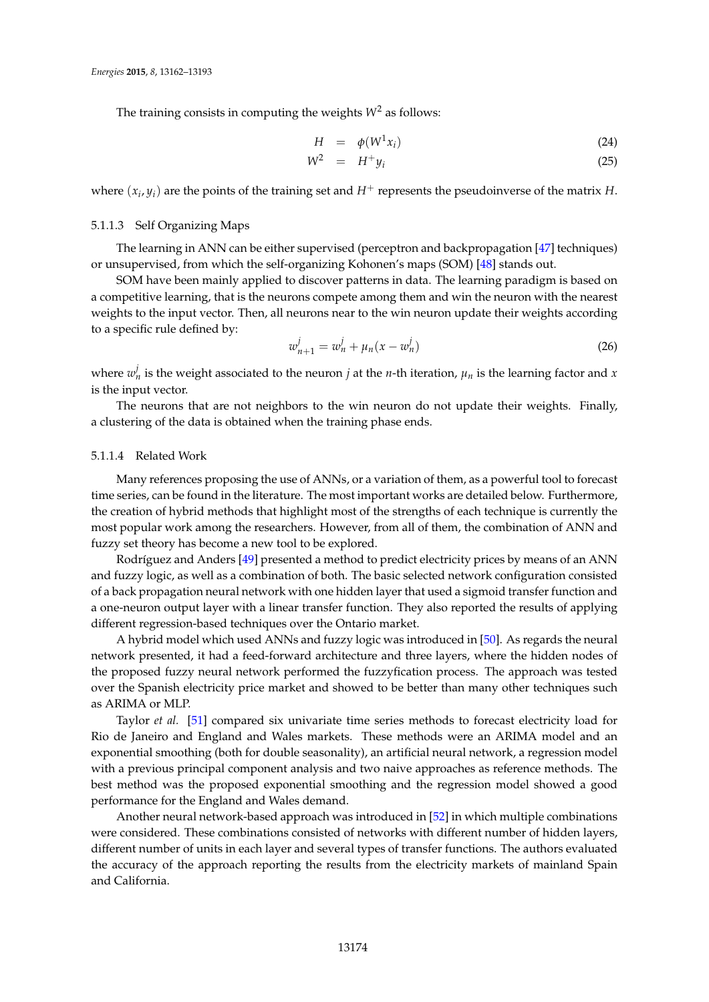The training consists in computing the weights  $W^2$  as follows:

$$
H = \phi(W^1 x_i) \tag{24}
$$

$$
W^2 = H^+ y_i \tag{25}
$$

where  $(x_i, y_i)$  are the points of the training set and  $H^+$  represents the pseudoinverse of the matrix *H*.

# <span id="page-12-0"></span>5.1.1.3 Self Organizing Maps

The learning in ANN can be either supervised (perceptron and backpropagation [\[47\]](#page-28-10) techniques) or unsupervised, from which the self-organizing Kohonen's maps (SOM) [\[48\]](#page-28-11) stands out.

SOM have been mainly applied to discover patterns in data. The learning paradigm is based on a competitive learning, that is the neurons compete among them and win the neuron with the nearest weights to the input vector. Then, all neurons near to the win neuron update their weights according to a specific rule defined by:

$$
w_{n+1}^j = w_n^j + \mu_n(x - w_n^j) \tag{26}
$$

where  $w_n^j$  is the weight associated to the neuron  $j$  at the *n*-th iteration,  $\mu_n$  is the learning factor and  $x$ is the input vector.

The neurons that are not neighbors to the win neuron do not update their weights. Finally, a clustering of the data is obtained when the training phase ends.

#### <span id="page-12-1"></span>5.1.1.4 Related Work

Many references proposing the use of ANNs, or a variation of them, as a powerful tool to forecast time series, can be found in the literature. The most important works are detailed below. Furthermore, the creation of hybrid methods that highlight most of the strengths of each technique is currently the most popular work among the researchers. However, from all of them, the combination of ANN and fuzzy set theory has become a new tool to be explored.

Rodríguez and Anders [\[49\]](#page-28-12) presented a method to predict electricity prices by means of an ANN and fuzzy logic, as well as a combination of both. The basic selected network configuration consisted of a back propagation neural network with one hidden layer that used a sigmoid transfer function and a one-neuron output layer with a linear transfer function. They also reported the results of applying different regression-based techniques over the Ontario market.

A hybrid model which used ANNs and fuzzy logic was introduced in [\[50\]](#page-28-13). As regards the neural network presented, it had a feed-forward architecture and three layers, where the hidden nodes of the proposed fuzzy neural network performed the fuzzyfication process. The approach was tested over the Spanish electricity price market and showed to be better than many other techniques such as ARIMA or MLP.

Taylor *et al.* [\[51\]](#page-28-14) compared six univariate time series methods to forecast electricity load for Rio de Janeiro and England and Wales markets. These methods were an ARIMA model and an exponential smoothing (both for double seasonality), an artificial neural network, a regression model with a previous principal component analysis and two naive approaches as reference methods. The best method was the proposed exponential smoothing and the regression model showed a good performance for the England and Wales demand.

Another neural network-based approach was introduced in [\[52\]](#page-28-15) in which multiple combinations were considered. These combinations consisted of networks with different number of hidden layers, different number of units in each layer and several types of transfer functions. The authors evaluated the accuracy of the approach reporting the results from the electricity markets of mainland Spain and California.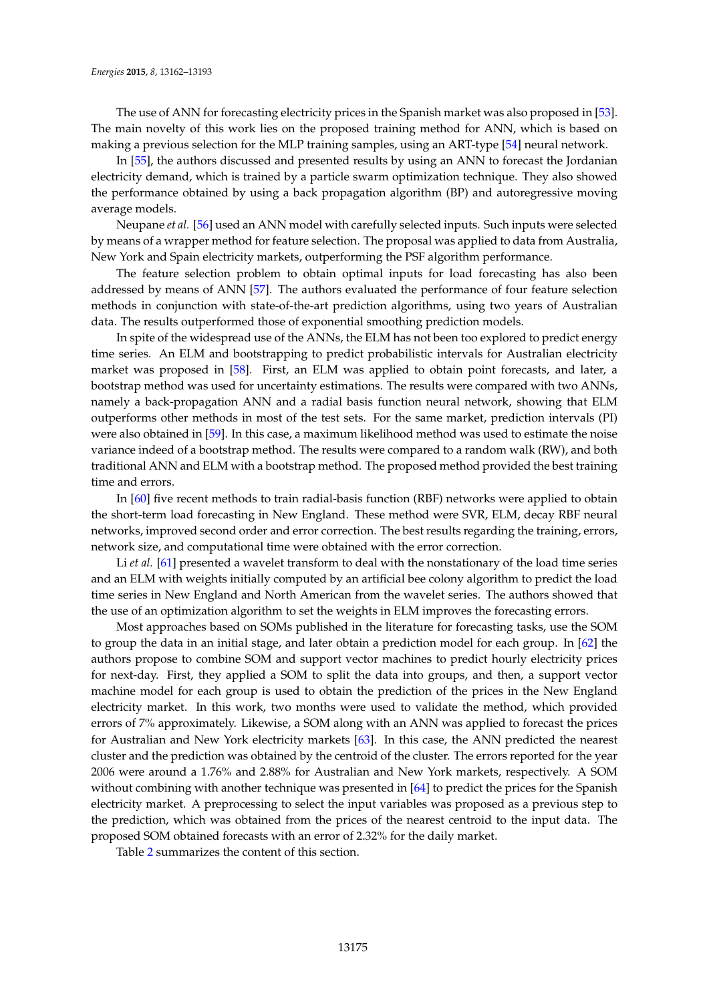The use of ANN for forecasting electricity prices in the Spanish market was also proposed in [\[53\]](#page-28-16). The main novelty of this work lies on the proposed training method for ANN, which is based on making a previous selection for the MLP training samples, using an ART-type [\[54\]](#page-28-17) neural network.

In [\[55\]](#page-28-18), the authors discussed and presented results by using an ANN to forecast the Jordanian electricity demand, which is trained by a particle swarm optimization technique. They also showed the performance obtained by using a back propagation algorithm (BP) and autoregressive moving average models.

Neupane *et al.* [\[56\]](#page-28-19) used an ANN model with carefully selected inputs. Such inputs were selected by means of a wrapper method for feature selection. The proposal was applied to data from Australia, New York and Spain electricity markets, outperforming the PSF algorithm performance.

The feature selection problem to obtain optimal inputs for load forecasting has also been addressed by means of ANN [\[57\]](#page-28-20). The authors evaluated the performance of four feature selection methods in conjunction with state-of-the-art prediction algorithms, using two years of Australian data. The results outperformed those of exponential smoothing prediction models.

In spite of the widespread use of the ANNs, the ELM has not been too explored to predict energy time series. An ELM and bootstrapping to predict probabilistic intervals for Australian electricity market was proposed in [\[58\]](#page-28-21). First, an ELM was applied to obtain point forecasts, and later, a bootstrap method was used for uncertainty estimations. The results were compared with two ANNs, namely a back-propagation ANN and a radial basis function neural network, showing that ELM outperforms other methods in most of the test sets. For the same market, prediction intervals (PI) were also obtained in [\[59\]](#page-28-22). In this case, a maximum likelihood method was used to estimate the noise variance indeed of a bootstrap method. The results were compared to a random walk (RW), and both traditional ANN and ELM with a bootstrap method. The proposed method provided the best training time and errors.

In [\[60\]](#page-28-23) five recent methods to train radial-basis function (RBF) networks were applied to obtain the short-term load forecasting in New England. These method were SVR, ELM, decay RBF neural networks, improved second order and error correction. The best results regarding the training, errors, network size, and computational time were obtained with the error correction.

Li *et al.* [\[61\]](#page-28-24) presented a wavelet transform to deal with the nonstationary of the load time series and an ELM with weights initially computed by an artificial bee colony algorithm to predict the load time series in New England and North American from the wavelet series. The authors showed that the use of an optimization algorithm to set the weights in ELM improves the forecasting errors.

Most approaches based on SOMs published in the literature for forecasting tasks, use the SOM to group the data in an initial stage, and later obtain a prediction model for each group. In [\[62\]](#page-28-25) the authors propose to combine SOM and support vector machines to predict hourly electricity prices for next-day. First, they applied a SOM to split the data into groups, and then, a support vector machine model for each group is used to obtain the prediction of the prices in the New England electricity market. In this work, two months were used to validate the method, which provided errors of 7% approximately. Likewise, a SOM along with an ANN was applied to forecast the prices for Australian and New York electricity markets [\[63\]](#page-28-26). In this case, the ANN predicted the nearest cluster and the prediction was obtained by the centroid of the cluster. The errors reported for the year 2006 were around a 1.76% and 2.88% for Australian and New York markets, respectively. A SOM without combining with another technique was presented in [\[64\]](#page-29-0) to predict the prices for the Spanish electricity market. A preprocessing to select the input variables was proposed as a previous step to the prediction, which was obtained from the prices of the nearest centroid to the input data. The proposed SOM obtained forecasts with an error of 2.32% for the daily market.

Table [2](#page-14-0) summarizes the content of this section.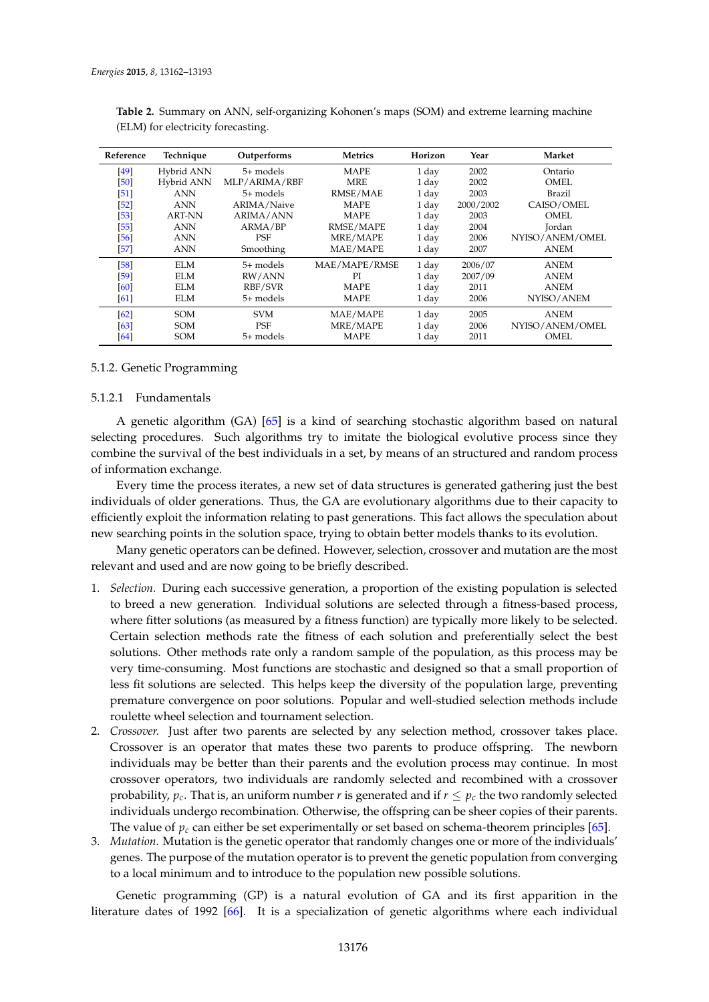| Reference | Technique     | Outperforms      | Metrics       | Horizon | Year      | Market          |
|-----------|---------------|------------------|---------------|---------|-----------|-----------------|
| [49]      | Hybrid ANN    | 5+ models        | MAPE          | 1 day   | 2002      | Ontario         |
| [50]      | Hybrid ANN    | MLP/ARIMA/RBF    | <b>MRE</b>    | 1 day   | 2002      | OMEL            |
| $[51]$    | <b>ANN</b>    | 5+ models        | RMSE/MAE      | 1 day   | 2003      | Brazil          |
| $[52]$    | ANN           | ARIMA/Naive      | <b>MAPE</b>   | 1 day   | 2000/2002 | CAISO/OMEL      |
| $[53]$    | <b>ART-NN</b> | <b>ARIMA/ANN</b> | <b>MAPE</b>   | 1 day   | 2003      | OMEL            |
| $[55]$    | ANN           | ARMA/BP          | RMSE/MAPE     | 1 day   | 2004      | Jordan          |
| [56]      | <b>ANN</b>    | PSF              | MRE/MAPE      | 1 day   | 2006      | NYISO/ANEM/OMEL |
| $[57]$    | <b>ANN</b>    | Smoothing        | MAE/MAPE      | 1 day   | 2007      | ANEM            |
| [58]      | <b>ELM</b>    | 5+ models        | MAE/MAPE/RMSE | 1 day   | 2006/07   | ANEM            |
| $[59]$    | ELM           | RW/ANN           | PI            | 1 day   | 2007/09   | <b>ANEM</b>     |
| [60]      | ELM.          | RBF/SVR          | MAPE          | 1 day   | 2011      | ANEM            |
| [61]      | ELM           | 5+ models        | MAPE          | 1 day   | 2006      | NYISO/ANEM      |
| [62]      | <b>SOM</b>    | <b>SVM</b>       | MAE/MAPE      | 1 day   | 2005      | ANEM            |
| [63]      | <b>SOM</b>    | PSF              | MRE/MAPE      | 1 day   | 2006      | NYISO/ANEM/OMEL |
| [64]      | <b>SOM</b>    | 5+ models        | MAPE          | 1 day   | 2011      | OMEL            |

<span id="page-14-0"></span>**Table 2.** Summary on ANN, self-organizing Kohonen's maps (SOM) and extreme learning machine (ELM) for electricity forecasting.

#### 5.1.2. Genetic Programming

# 5.1.2.1 Fundamentals

A genetic algorithm (GA) [\[65\]](#page-29-1) is a kind of searching stochastic algorithm based on natural selecting procedures. Such algorithms try to imitate the biological evolutive process since they combine the survival of the best individuals in a set, by means of an structured and random process of information exchange.

Every time the process iterates, a new set of data structures is generated gathering just the best individuals of older generations. Thus, the GA are evolutionary algorithms due to their capacity to efficiently exploit the information relating to past generations. This fact allows the speculation about new searching points in the solution space, trying to obtain better models thanks to its evolution.

Many genetic operators can be defined. However, selection, crossover and mutation are the most relevant and used and are now going to be briefly described.

- 1. *Selection.* During each successive generation, a proportion of the existing population is selected to breed a new generation. Individual solutions are selected through a fitness-based process, where fitter solutions (as measured by a fitness function) are typically more likely to be selected. Certain selection methods rate the fitness of each solution and preferentially select the best solutions. Other methods rate only a random sample of the population, as this process may be very time-consuming. Most functions are stochastic and designed so that a small proportion of less fit solutions are selected. This helps keep the diversity of the population large, preventing premature convergence on poor solutions. Popular and well-studied selection methods include roulette wheel selection and tournament selection.
- 2. *Crossover.* Just after two parents are selected by any selection method, crossover takes place. Crossover is an operator that mates these two parents to produce offspring. The newborn individuals may be better than their parents and the evolution process may continue. In most crossover operators, two individuals are randomly selected and recombined with a crossover probability,  $p_c$ . That is, an uniform number *r* is generated and if  $r \leq p_c$  the two randomly selected individuals undergo recombination. Otherwise, the offspring can be sheer copies of their parents. The value of  $p_c$  can either be set experimentally or set based on schema-theorem principles [\[65\]](#page-29-1).
- 3. *Mutation.* Mutation is the genetic operator that randomly changes one or more of the individuals' genes. The purpose of the mutation operator is to prevent the genetic population from converging to a local minimum and to introduce to the population new possible solutions.

Genetic programming (GP) is a natural evolution of GA and its first apparition in the literature dates of 1992 [\[66\]](#page-29-2). It is a specialization of genetic algorithms where each individual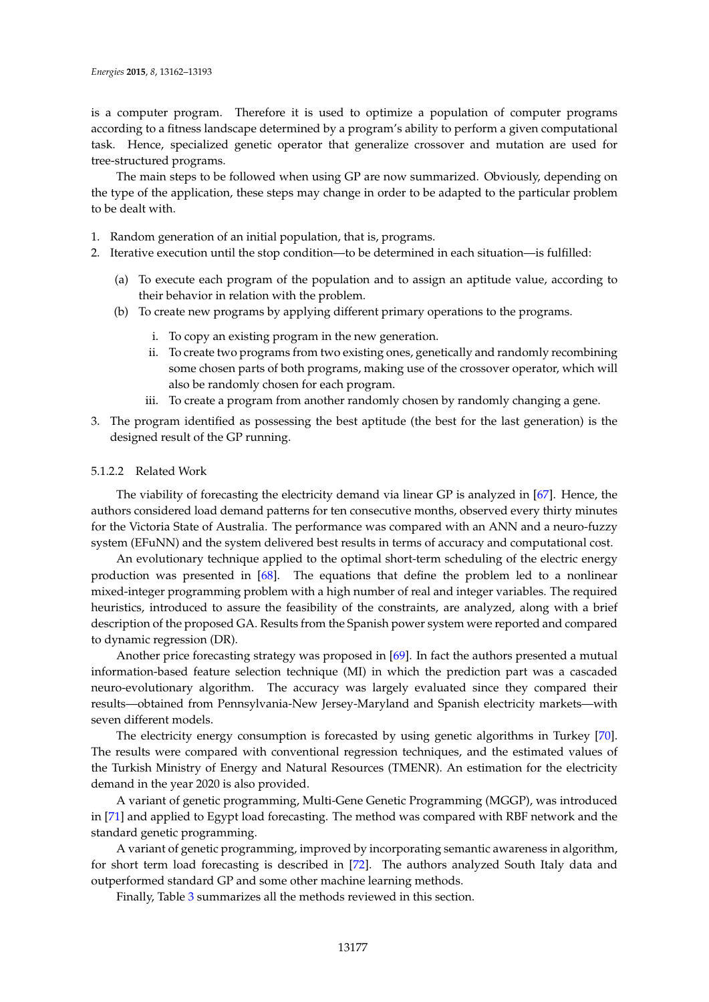is a computer program. Therefore it is used to optimize a population of computer programs according to a fitness landscape determined by a program's ability to perform a given computational task. Hence, specialized genetic operator that generalize crossover and mutation are used for tree-structured programs.

The main steps to be followed when using GP are now summarized. Obviously, depending on the type of the application, these steps may change in order to be adapted to the particular problem to be dealt with.

- 1. Random generation of an initial population, that is, programs.
- 2. Iterative execution until the stop condition—to be determined in each situation—is fulfilled:
	- (a) To execute each program of the population and to assign an aptitude value, according to their behavior in relation with the problem.
	- (b) To create new programs by applying different primary operations to the programs.
		- i. To copy an existing program in the new generation.
		- ii. To create two programs from two existing ones, genetically and randomly recombining some chosen parts of both programs, making use of the crossover operator, which will also be randomly chosen for each program.
		- iii. To create a program from another randomly chosen by randomly changing a gene.
- 3. The program identified as possessing the best aptitude (the best for the last generation) is the designed result of the GP running.

# 5.1.2.2 Related Work

The viability of forecasting the electricity demand via linear GP is analyzed in [\[67\]](#page-29-3). Hence, the authors considered load demand patterns for ten consecutive months, observed every thirty minutes for the Victoria State of Australia. The performance was compared with an ANN and a neuro-fuzzy system (EFuNN) and the system delivered best results in terms of accuracy and computational cost.

An evolutionary technique applied to the optimal short-term scheduling of the electric energy production was presented in [\[68\]](#page-29-4). The equations that define the problem led to a nonlinear mixed-integer programming problem with a high number of real and integer variables. The required heuristics, introduced to assure the feasibility of the constraints, are analyzed, along with a brief description of the proposed GA. Results from the Spanish power system were reported and compared to dynamic regression (DR).

Another price forecasting strategy was proposed in [\[69\]](#page-29-5). In fact the authors presented a mutual information-based feature selection technique (MI) in which the prediction part was a cascaded neuro-evolutionary algorithm. The accuracy was largely evaluated since they compared their results—obtained from Pennsylvania-New Jersey-Maryland and Spanish electricity markets—with seven different models.

The electricity energy consumption is forecasted by using genetic algorithms in Turkey [\[70\]](#page-29-6). The results were compared with conventional regression techniques, and the estimated values of the Turkish Ministry of Energy and Natural Resources (TMENR). An estimation for the electricity demand in the year 2020 is also provided.

A variant of genetic programming, Multi-Gene Genetic Programming (MGGP), was introduced in [\[71\]](#page-29-7) and applied to Egypt load forecasting. The method was compared with RBF network and the standard genetic programming.

A variant of genetic programming, improved by incorporating semantic awareness in algorithm, for short term load forecasting is described in [\[72\]](#page-29-8). The authors analyzed South Italy data and outperformed standard GP and some other machine learning methods.

Finally, Table [3](#page-16-0) summarizes all the methods reviewed in this section.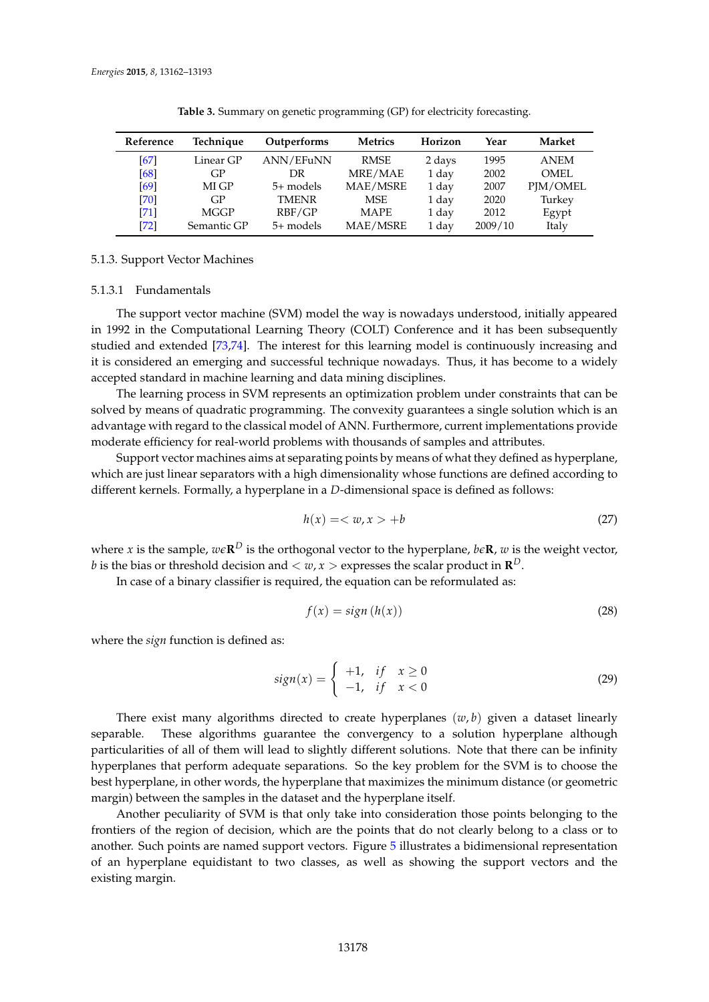<span id="page-16-0"></span>

| Reference | Technique   | Outperforms  | <b>Metrics</b> | Horizon | Year    | Market      |
|-----------|-------------|--------------|----------------|---------|---------|-------------|
| [67]      | Linear GP   | ANN/EFuNN    | <b>RMSE</b>    | 2 days  | 1995    | <b>ANEM</b> |
| [68]      | GP          | DR           | MRE/MAE        | 1 day   | 2002    | <b>OMEL</b> |
| [69]      | MI GP       | 5+ models    | MAE/MSRE       | 1 day   | 2007    | PJM/OMEL    |
| $[70]$    | GP          | <b>TMENR</b> | <b>MSE</b>     | 1 day   | 2020    | Turkey      |
| [71]      | MGGP        | RBF/GP       | <b>MAPE</b>    | 1 day   | 2012    | Egypt       |
| [72]      | Semantic GP | $5+$ models  | MAE/MSRE       | 1 day   | 2009/10 | Italy       |

**Table 3.** Summary on genetic programming (GP) for electricity forecasting.

# 5.1.3. Support Vector Machines

## 5.1.3.1 Fundamentals

The support vector machine (SVM) model the way is nowadays understood, initially appeared in 1992 in the Computational Learning Theory (COLT) Conference and it has been subsequently studied and extended [\[73,](#page-29-9)[74\]](#page-29-10). The interest for this learning model is continuously increasing and it is considered an emerging and successful technique nowadays. Thus, it has become to a widely accepted standard in machine learning and data mining disciplines.

The learning process in SVM represents an optimization problem under constraints that can be solved by means of quadratic programming. The convexity guarantees a single solution which is an advantage with regard to the classical model of ANN. Furthermore, current implementations provide moderate efficiency for real-world problems with thousands of samples and attributes.

Support vector machines aims at separating points by means of what they defined as hyperplane, which are just linear separators with a high dimensionality whose functions are defined according to different kernels. Formally, a hyperplane in a *D*-dimensional space is defined as follows:

$$
h(x) = \langle w, x \rangle + b \tag{27}
$$

where *x* is the sample,  $w\epsilon \mathbf{R}^D$  is the orthogonal vector to the hyperplane,  $b\epsilon \mathbf{R}$ ,  $w$  is the weight vector,  $b$  is the bias or threshold decision and  $< w, x>$  expresses the scalar product in  $\mathbf{R}^D.$ 

In case of a binary classifier is required, the equation can be reformulated as:

$$
f(x) = sign(h(x))
$$
\n(28)

where the *sign* function is defined as:

$$
sign(x) = \begin{cases} +1, & \text{if } x \ge 0\\ -1, & \text{if } x < 0 \end{cases} \tag{29}
$$

There exist many algorithms directed to create hyperplanes  $(w, b)$  given a dataset linearly separable. These algorithms guarantee the convergency to a solution hyperplane although particularities of all of them will lead to slightly different solutions. Note that there can be infinity hyperplanes that perform adequate separations. So the key problem for the SVM is to choose the best hyperplane, in other words, the hyperplane that maximizes the minimum distance (or geometric margin) between the samples in the dataset and the hyperplane itself.

Another peculiarity of SVM is that only take into consideration those points belonging to the frontiers of the region of decision, which are the points that do not clearly belong to a class or to another. Such points are named support vectors. Figure [5](#page-17-0) illustrates a bidimensional representation of an hyperplane equidistant to two classes, as well as showing the support vectors and the existing margin.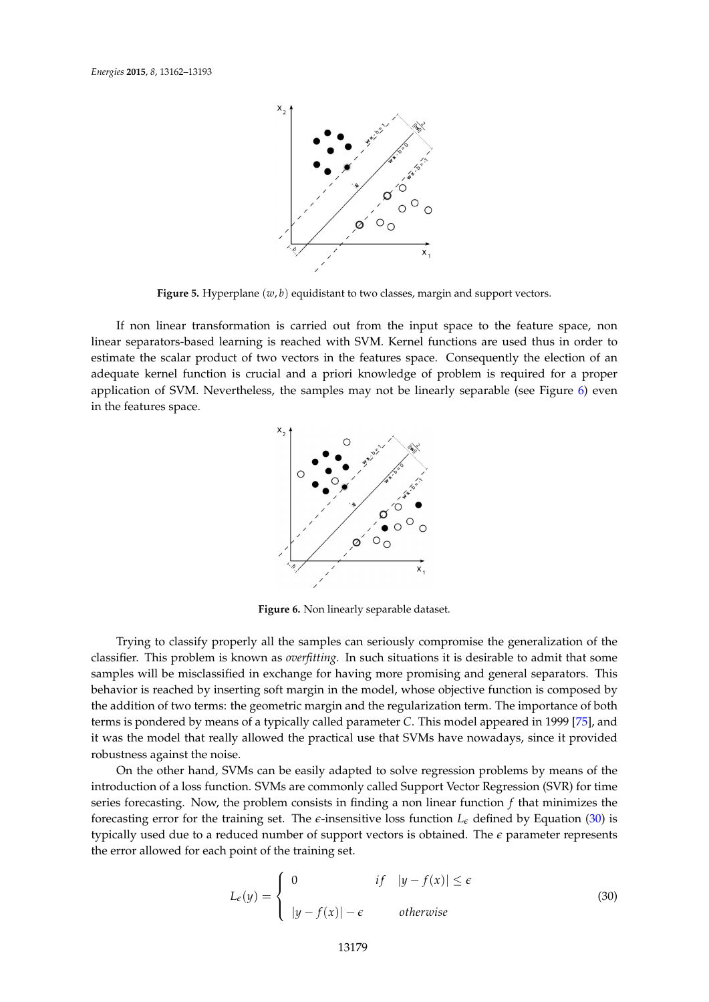<span id="page-17-0"></span>

**Figure 5.** Hyperplane (*w*, *b*) equidistant to two classes, margin and support vectors.

<span id="page-17-1"></span>If non linear transformation is carried out from the input space to the feature space, non linear separators-based learning is reached with SVM. Kernel functions are used thus in order to estimate the scalar product of two vectors in the features space. Consequently the election of an adequate kernel function is crucial and a priori knowledge of problem is required for a proper application of SVM. Nevertheless, the samples may not be linearly separable (see Figure  $6$ ) even in the features space.



**Figure 6.** Non linearly separable dataset.

Trying to classify properly all the samples can seriously compromise the generalization of the classifier. This problem is known as *overfitting.* In such situations it is desirable to admit that some samples will be misclassified in exchange for having more promising and general separators. This behavior is reached by inserting soft margin in the model, whose objective function is composed by the addition of two terms: the geometric margin and the regularization term. The importance of both terms is pondered by means of a typically called parameter *C*. This model appeared in 1999 [\[75\]](#page-29-11), and it was the model that really allowed the practical use that SVMs have nowadays, since it provided robustness against the noise.

On the other hand, SVMs can be easily adapted to solve regression problems by means of the introduction of a loss function. SVMs are commonly called Support Vector Regression (SVR) for time series forecasting. Now, the problem consists in finding a non linear function *f* that minimizes the forecasting error for the training set. The  $\epsilon$ -insensitive loss function  $L_{\epsilon}$  defined by Equation [\(30\)](#page-17-2) is typically used due to a reduced number of support vectors is obtained. The *e* parameter represents the error allowed for each point of the training set.

<span id="page-17-2"></span>
$$
L_{\epsilon}(y) = \begin{cases} 0 & \text{if } |y - f(x)| \le \epsilon \\ |y - f(x)| - \epsilon & \text{otherwise} \end{cases}
$$
 (30)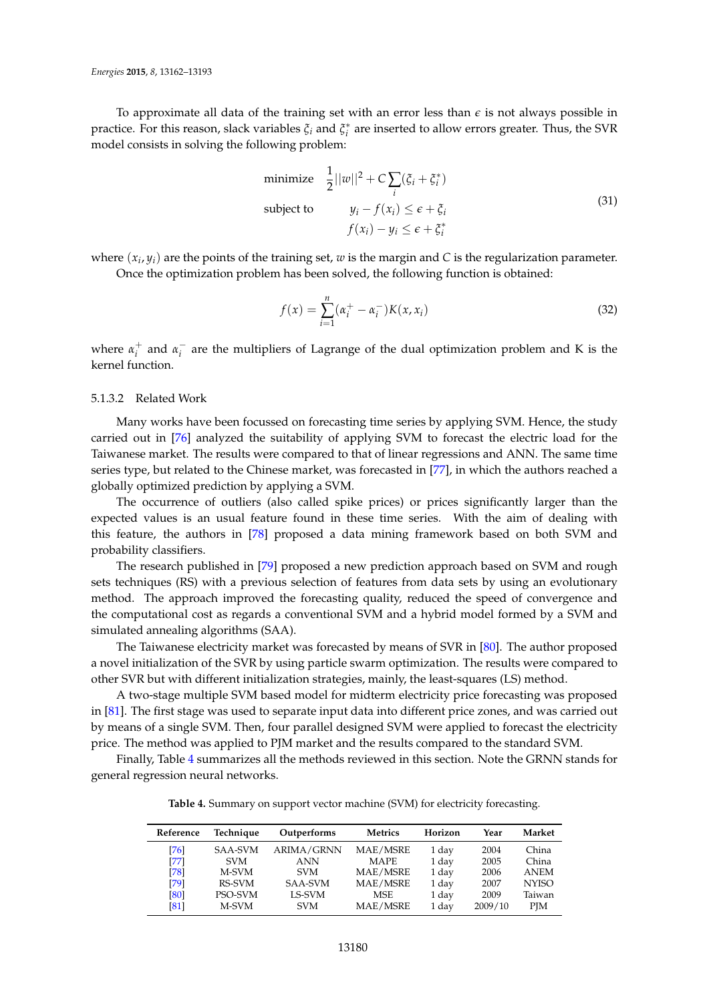To approximate all data of the training set with an error less than  $\epsilon$  is not always possible in practice. For this reason, slack variables *ξ<sup>i</sup>* and *ξ* ∗ *i* are inserted to allow errors greater. Thus, the SVR model consists in solving the following problem:

minimize 
$$
\frac{1}{2}||w||^2 + C \sum_i (\xi_i + \xi_i^*)
$$
  
\nsubject to  $y_i - f(x_i) \le \epsilon + \xi_i$   
\n $f(x_i) - y_i \le \epsilon + \xi_i^*$  (31)

where  $(x_i, y_i)$  are the points of the training set,  $w$  is the margin and  $C$  is the regularization parameter. Once the optimization problem has been solved, the following function is obtained:

$$
f(x) = \sum_{i=1}^{n} (\alpha_i^+ - \alpha_i^-) K(x, x_i)
$$
\n(32)

where  $\alpha_i^+$  and  $\alpha_i^ \overline{i}$  are the multipliers of Lagrange of the dual optimization problem and K is the kernel function.

# 5.1.3.2 Related Work

Many works have been focussed on forecasting time series by applying SVM. Hence, the study carried out in [\[76\]](#page-29-12) analyzed the suitability of applying SVM to forecast the electric load for the Taiwanese market. The results were compared to that of linear regressions and ANN. The same time series type, but related to the Chinese market, was forecasted in [\[77\]](#page-29-13), in which the authors reached a globally optimized prediction by applying a SVM.

The occurrence of outliers (also called spike prices) or prices significantly larger than the expected values is an usual feature found in these time series. With the aim of dealing with this feature, the authors in [\[78\]](#page-29-14) proposed a data mining framework based on both SVM and probability classifiers.

The research published in [\[79\]](#page-29-15) proposed a new prediction approach based on SVM and rough sets techniques (RS) with a previous selection of features from data sets by using an evolutionary method. The approach improved the forecasting quality, reduced the speed of convergence and the computational cost as regards a conventional SVM and a hybrid model formed by a SVM and simulated annealing algorithms (SAA).

The Taiwanese electricity market was forecasted by means of SVR in [\[80\]](#page-29-16). The author proposed a novel initialization of the SVR by using particle swarm optimization. The results were compared to other SVR but with different initialization strategies, mainly, the least-squares (LS) method.

A two-stage multiple SVM based model for midterm electricity price forecasting was proposed in [\[81\]](#page-29-17). The first stage was used to separate input data into different price zones, and was carried out by means of a single SVM. Then, four parallel designed SVM were applied to forecast the electricity price. The method was applied to PJM market and the results compared to the standard SVM.

<span id="page-18-0"></span>Finally, Table [4](#page-18-0) summarizes all the methods reviewed in this section. Note the GRNN stands for general regression neural networks.

**Table 4.** Summary on support vector machine (SVM) for electricity forecasting.

| Reference | Technique  | Outperforms       | Metrics     | Horizon | Year    | Market       |
|-----------|------------|-------------------|-------------|---------|---------|--------------|
| [76]      | SAA-SVM    | <b>ARIMA/GRNN</b> | MAE/MSRE    | 1 day   | 2004    | China        |
| $[77]$    | <b>SVM</b> | <b>ANN</b>        | <b>MAPE</b> | 1 day   | 2005    | China        |
| [78]      | M-SVM      | <b>SVM</b>        | MAE/MSRE    | 1 day   | 2006    | <b>ANEM</b>  |
| [79]      | RS-SVM     | SAA-SVM           | MAE/MSRE    | 1 day   | 2007    | <b>NYISO</b> |
| [80]      | PSO-SVM    | LS-SVM            | <b>MSE</b>  | 1 day   | 2009    | Taiwan       |
| [81]      | M-SVM      | <b>SVM</b>        | MAE/MSRE    | 1 day   | 2009/10 | <b>PIM</b>   |
|           |            |                   |             |         |         |              |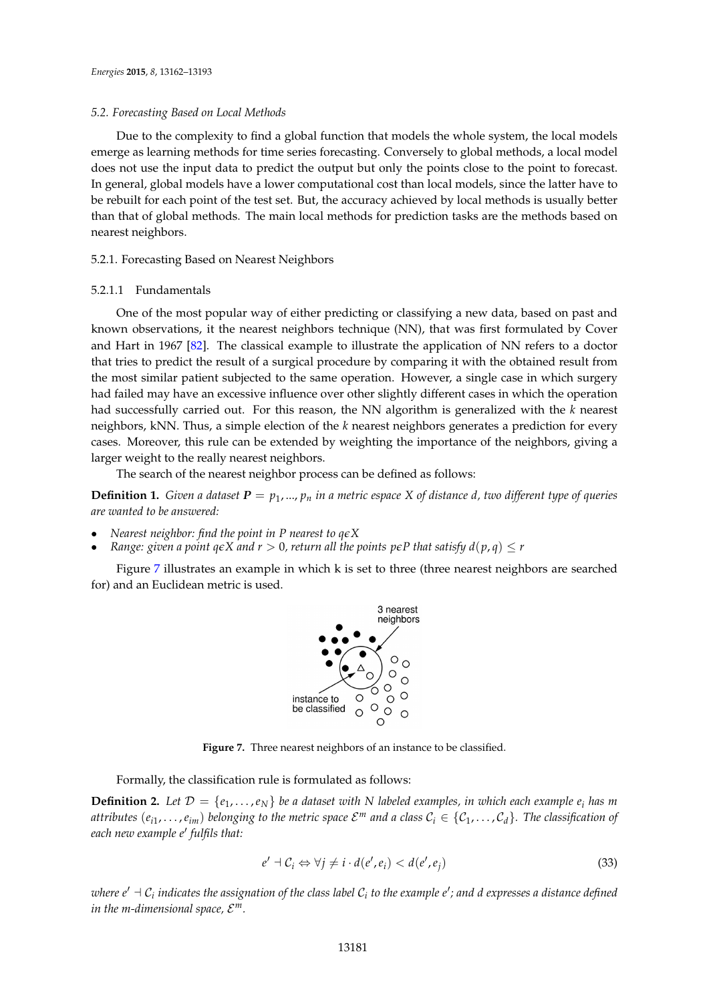#### *5.2. Forecasting Based on Local Methods*

Due to the complexity to find a global function that models the whole system, the local models emerge as learning methods for time series forecasting. Conversely to global methods, a local model does not use the input data to predict the output but only the points close to the point to forecast. In general, global models have a lower computational cost than local models, since the latter have to be rebuilt for each point of the test set. But, the accuracy achieved by local methods is usually better than that of global methods. The main local methods for prediction tasks are the methods based on nearest neighbors.

## 5.2.1. Forecasting Based on Nearest Neighbors

#### 5.2.1.1 Fundamentals

One of the most popular way of either predicting or classifying a new data, based on past and known observations, it the nearest neighbors technique (NN), that was first formulated by Cover and Hart in 1967 [\[82\]](#page-29-18). The classical example to illustrate the application of NN refers to a doctor that tries to predict the result of a surgical procedure by comparing it with the obtained result from the most similar patient subjected to the same operation. However, a single case in which surgery had failed may have an excessive influence over other slightly different cases in which the operation had successfully carried out. For this reason, the NN algorithm is generalized with the *k* nearest neighbors, kNN. Thus, a simple election of the *k* nearest neighbors generates a prediction for every cases. Moreover, this rule can be extended by weighting the importance of the neighbors, giving a larger weight to the really nearest neighbors.

The search of the nearest neighbor process can be defined as follows:

**Definition 1.** *Given a dataset*  $P = p_1, ..., p_n$  *in a metric espace* X of distance d, two different type of queries *are wanted to be answered:*

- *Nearest neighbor: find the point in P nearest to qeX*
- *Range: given a point*  $q \in X$  *and*  $r > 0$ *, return all the points*  $p \in P$  *that satisfy*  $d(p, q) \leq r$

<span id="page-19-0"></span>Figure [7](#page-19-0) illustrates an example in which k is set to three (three nearest neighbors are searched for) and an Euclidean metric is used.



**Figure 7.** Three nearest neighbors of an instance to be classified.

Formally, the classification rule is formulated as follows:

**Definition 2.** Let  $\mathcal{D} = \{e_1, \ldots, e_N\}$  be a dataset with N labeled examples, in which each example  $e_i$  has m attributes  $(e_{i1},...,e_{im})$  belonging to the metric space  $\mathcal{E}^m$  and a class  $\mathcal{C}_i\in\{\mathcal{C}_1,\ldots,\mathcal{C}_d\}.$  The classification of *each new example e*<sup>0</sup> *fulfils that:*

$$
e' \dashv \mathcal{C}_i \Leftrightarrow \forall j \neq i \cdot d(e', e_i) < d(e', e_j) \tag{33}
$$

where  $e' \dashv \mathcal{C}_i$  indicates the assignation of the class label  $\mathcal{C}_i$  to the example  $e'$ ; and d expresses a distance defined in the m-dimensional space,  $\mathcal{E}^m$ .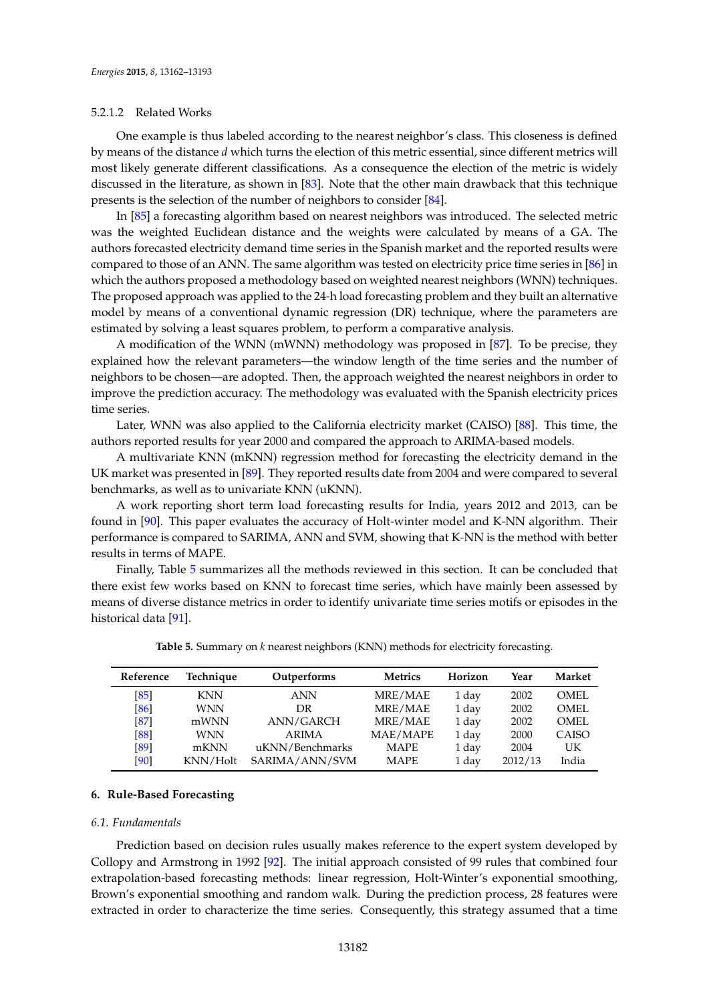## 5.2.1.2 Related Works

One example is thus labeled according to the nearest neighbor's class. This closeness is defined by means of the distance *d* which turns the election of this metric essential, since different metrics will most likely generate different classifications. As a consequence the election of the metric is widely discussed in the literature, as shown in [\[83\]](#page-29-19). Note that the other main drawback that this technique presents is the selection of the number of neighbors to consider [\[84\]](#page-29-20).

In [\[85\]](#page-29-21) a forecasting algorithm based on nearest neighbors was introduced. The selected metric was the weighted Euclidean distance and the weights were calculated by means of a GA. The authors forecasted electricity demand time series in the Spanish market and the reported results were compared to those of an ANN. The same algorithm was tested on electricity price time series in [\[86\]](#page-29-22) in which the authors proposed a methodology based on weighted nearest neighbors (WNN) techniques. The proposed approach was applied to the 24-h load forecasting problem and they built an alternative model by means of a conventional dynamic regression (DR) technique, where the parameters are estimated by solving a least squares problem, to perform a comparative analysis.

A modification of the WNN (mWNN) methodology was proposed in [\[87\]](#page-29-23). To be precise, they explained how the relevant parameters—the window length of the time series and the number of neighbors to be chosen—are adopted. Then, the approach weighted the nearest neighbors in order to improve the prediction accuracy. The methodology was evaluated with the Spanish electricity prices time series.

Later, WNN was also applied to the California electricity market (CAISO) [\[88\]](#page-29-24). This time, the authors reported results for year 2000 and compared the approach to ARIMA-based models.

A multivariate KNN (mKNN) regression method for forecasting the electricity demand in the UK market was presented in [\[89\]](#page-30-0). They reported results date from 2004 and were compared to several benchmarks, as well as to univariate KNN (uKNN).

A work reporting short term load forecasting results for India, years 2012 and 2013, can be found in [\[90\]](#page-30-1). This paper evaluates the accuracy of Holt-winter model and K-NN algorithm. Their performance is compared to SARIMA, ANN and SVM, showing that K-NN is the method with better results in terms of MAPE.

Finally, Table [5](#page-20-1) summarizes all the methods reviewed in this section. It can be concluded that there exist few works based on KNN to forecast time series, which have mainly been assessed by means of diverse distance metrics in order to identify univariate time series motifs or episodes in the historical data [\[91\]](#page-30-2).

<span id="page-20-1"></span>

| Reference | Technique  | Outperforms     | <b>Metrics</b> | Horizon | Year    | Market |
|-----------|------------|-----------------|----------------|---------|---------|--------|
| [85]      | <b>KNN</b> | <b>ANN</b>      | MRE/MAE        | 1 day   | 2002    | OMEL.  |
| [86]      | <b>WNN</b> | DR              | MRE/MAE        | 1 day   | 2002    | OMEL   |
| [87]      | mWNN       | ANN/GARCH       | MRE/MAE        | 1 day   | 2002    | OMEL.  |
| [88]      | <b>WNN</b> | <b>ARIMA</b>    | MAE/MAPE       | 1 day   | 2000    | CAISO  |
| [89]      | mKNN       | uKNN/Benchmarks | <b>MAPE</b>    | 1 day   | 2004    | UK.    |
| [90]      | KNN/Holt   | SARIMA/ANN/SVM  | <b>MAPE</b>    | 1 day   | 2012/13 | India  |

**Table 5.** Summary on *k* nearest neighbors (KNN) methods for electricity forecasting.

# <span id="page-20-0"></span>**6. Rule-Based Forecasting**

## *6.1. Fundamentals*

Prediction based on decision rules usually makes reference to the expert system developed by Collopy and Armstrong in 1992 [\[92\]](#page-30-3). The initial approach consisted of 99 rules that combined four extrapolation-based forecasting methods: linear regression, Holt-Winter's exponential smoothing, Brown's exponential smoothing and random walk. During the prediction process, 28 features were extracted in order to characterize the time series. Consequently, this strategy assumed that a time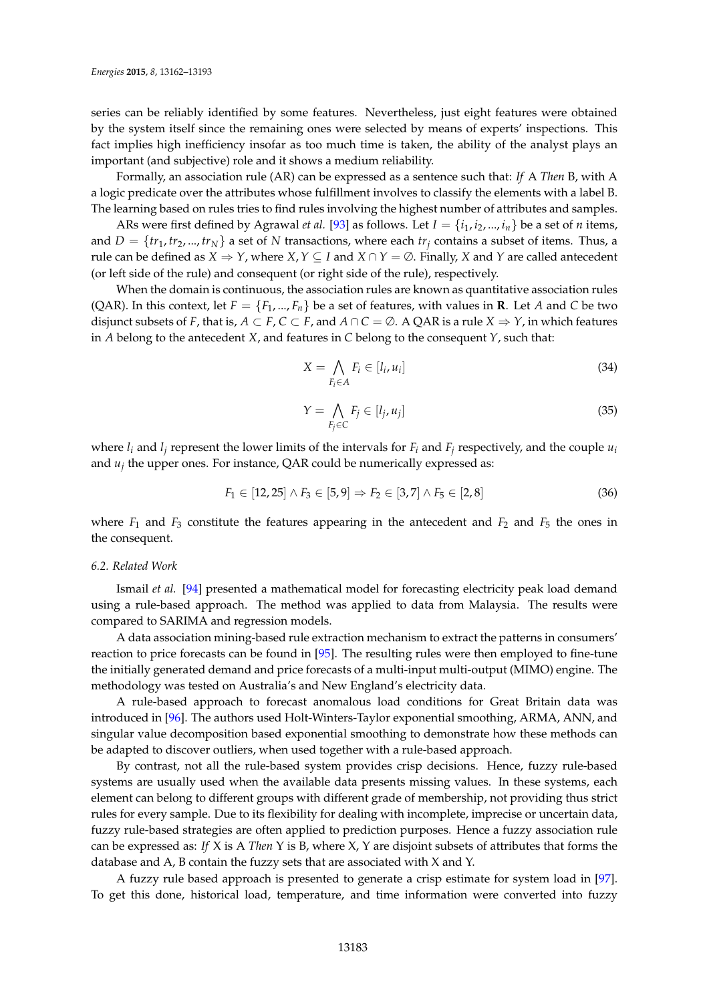series can be reliably identified by some features. Nevertheless, just eight features were obtained by the system itself since the remaining ones were selected by means of experts' inspections. This fact implies high inefficiency insofar as too much time is taken, the ability of the analyst plays an important (and subjective) role and it shows a medium reliability.

Formally, an association rule (AR) can be expressed as a sentence such that: *If* A *Then* B, with A a logic predicate over the attributes whose fulfillment involves to classify the elements with a label B. The learning based on rules tries to find rules involving the highest number of attributes and samples.

ARs were first defined by Agrawal *et al.* [\[93\]](#page-30-4) as follows. Let  $I = \{i_1, i_2, ..., i_n\}$  be a set of *n* items, and  $D = \{tr_1, tr_2, ..., tr_N\}$  a set of *N* transactions, where each  $tr_i$  contains a subset of items. Thus, a rule can be defined as  $X \Rightarrow Y$ , where  $X, Y \subseteq I$  and  $X \cap Y = \emptyset$ . Finally, *X* and *Y* are called antecedent (or left side of the rule) and consequent (or right side of the rule), respectively.

When the domain is continuous, the association rules are known as quantitative association rules (QAR). In this context, let  $F = \{F_1, ..., F_n\}$  be a set of features, with values in **R**. Let *A* and *C* be two disjunct subsets of *F*, that is,  $A \subset F$ ,  $C \subset F$ , and  $A \cap C = \emptyset$ . A QAR is a rule  $X \Rightarrow Y$ , in which features in *A* belong to the antecedent *X*, and features in *C* belong to the consequent *Y*, such that:

$$
X = \bigwedge_{F_i \in A} F_i \in [l_i, u_i]
$$
\n
$$
(34)
$$

$$
Y = \bigwedge_{F_j \in C} F_j \in [l_j, u_j]
$$
\n
$$
(35)
$$

where  $l_i$  and  $l_j$  represent the lower limits of the intervals for  $F_i$  and  $F_j$  respectively, and the couple  $u_i$ and *u<sup>j</sup>* the upper ones. For instance, QAR could be numerically expressed as:

$$
F_1 \in [12, 25] \land F_3 \in [5, 9] \Rightarrow F_2 \in [3, 7] \land F_5 \in [2, 8]
$$
\n
$$
(36)
$$

where  $F_1$  and  $F_3$  constitute the features appearing in the antecedent and  $F_2$  and  $F_5$  the ones in the consequent.

#### *6.2. Related Work*

Ismail *et al.* [\[94\]](#page-30-5) presented a mathematical model for forecasting electricity peak load demand using a rule-based approach. The method was applied to data from Malaysia. The results were compared to SARIMA and regression models.

A data association mining-based rule extraction mechanism to extract the patterns in consumers' reaction to price forecasts can be found in [\[95\]](#page-30-6). The resulting rules were then employed to fine-tune the initially generated demand and price forecasts of a multi-input multi-output (MIMO) engine. The methodology was tested on Australia's and New England's electricity data.

A rule-based approach to forecast anomalous load conditions for Great Britain data was introduced in [\[96\]](#page-30-7). The authors used Holt-Winters-Taylor exponential smoothing, ARMA, ANN, and singular value decomposition based exponential smoothing to demonstrate how these methods can be adapted to discover outliers, when used together with a rule-based approach.

By contrast, not all the rule-based system provides crisp decisions. Hence, fuzzy rule-based systems are usually used when the available data presents missing values. In these systems, each element can belong to different groups with different grade of membership, not providing thus strict rules for every sample. Due to its flexibility for dealing with incomplete, imprecise or uncertain data, fuzzy rule-based strategies are often applied to prediction purposes. Hence a fuzzy association rule can be expressed as: *If* X is A *Then* Y is B, where X, Y are disjoint subsets of attributes that forms the database and A, B contain the fuzzy sets that are associated with X and Y.

A fuzzy rule based approach is presented to generate a crisp estimate for system load in [\[97\]](#page-30-8). To get this done, historical load, temperature, and time information were converted into fuzzy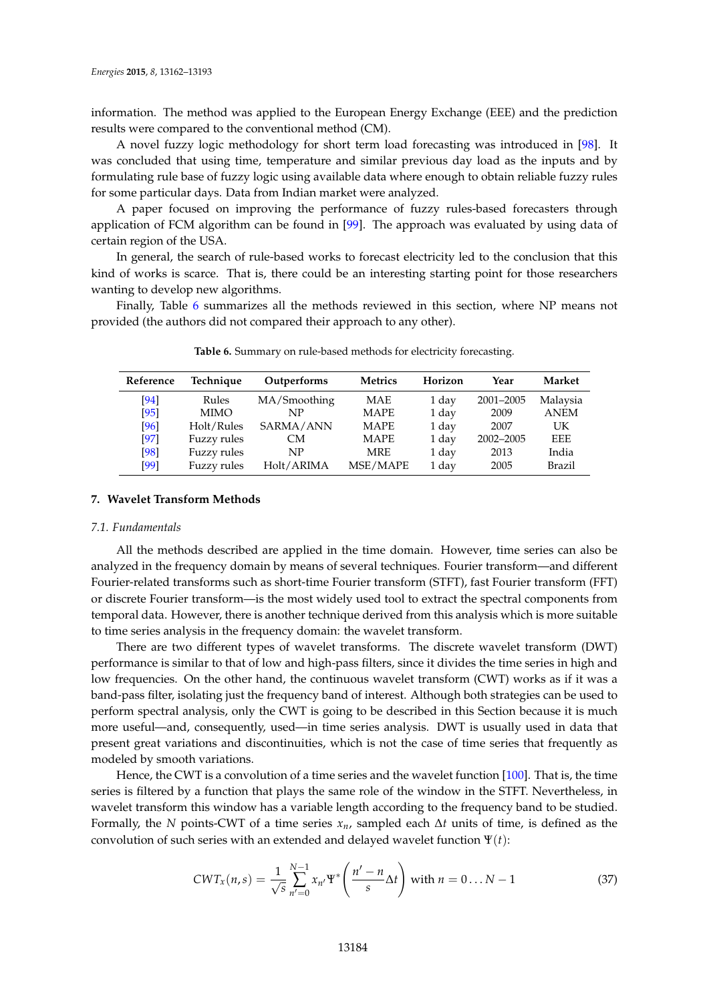information. The method was applied to the European Energy Exchange (EEE) and the prediction results were compared to the conventional method (CM).

A novel fuzzy logic methodology for short term load forecasting was introduced in [\[98\]](#page-30-9). It was concluded that using time, temperature and similar previous day load as the inputs and by formulating rule base of fuzzy logic using available data where enough to obtain reliable fuzzy rules for some particular days. Data from Indian market were analyzed.

A paper focused on improving the performance of fuzzy rules-based forecasters through application of FCM algorithm can be found in [\[99\]](#page-30-10). The approach was evaluated by using data of certain region of the USA.

In general, the search of rule-based works to forecast electricity led to the conclusion that this kind of works is scarce. That is, there could be an interesting starting point for those researchers wanting to develop new algorithms.

<span id="page-22-1"></span>Finally, Table [6](#page-22-1) summarizes all the methods reviewed in this section, where NP means not provided (the authors did not compared their approach to any other).

| Reference | Technique<br>Outperforms |              | <b>Metrics</b> | Horizon | Year      | Market      |
|-----------|--------------------------|--------------|----------------|---------|-----------|-------------|
| [94]      | Rules                    | MA/Smoothing | <b>MAE</b>     | 1 day   | 2001-2005 | Malaysia    |
| $[95]$    | <b>MIMO</b>              | NP           | <b>MAPE</b>    | 1 day   | 2009      | <b>ANEM</b> |
| [96]      | Holt/Rules               | SARMA/ANN    | <b>MAPE</b>    | 1 day   | 2007      | UK          |
| [97]      | Fuzzy rules              | CМ           | <b>MAPE</b>    | 1 day   | 2002-2005 | <b>EEE</b>  |
| [98]      | Fuzzy rules              | NP           | <b>MRE</b>     | 1 day   | 2013      | India       |
| [99]      | Fuzzy rules              | Holt/ARIMA   | MSE/MAPE       | 1 day   | 2005      | Brazil      |

**Table 6.** Summary on rule-based methods for electricity forecasting.

#### <span id="page-22-0"></span>**7. Wavelet Transform Methods**

#### *7.1. Fundamentals*

All the methods described are applied in the time domain. However, time series can also be analyzed in the frequency domain by means of several techniques. Fourier transform—and different Fourier-related transforms such as short-time Fourier transform (STFT), fast Fourier transform (FFT) or discrete Fourier transform—is the most widely used tool to extract the spectral components from temporal data. However, there is another technique derived from this analysis which is more suitable to time series analysis in the frequency domain: the wavelet transform.

There are two different types of wavelet transforms. The discrete wavelet transform (DWT) performance is similar to that of low and high-pass filters, since it divides the time series in high and low frequencies. On the other hand, the continuous wavelet transform (CWT) works as if it was a band-pass filter, isolating just the frequency band of interest. Although both strategies can be used to perform spectral analysis, only the CWT is going to be described in this Section because it is much more useful—and, consequently, used—in time series analysis. DWT is usually used in data that present great variations and discontinuities, which is not the case of time series that frequently as modeled by smooth variations.

Hence, the CWT is a convolution of a time series and the wavelet function [\[100\]](#page-30-11). That is, the time series is filtered by a function that plays the same role of the window in the STFT. Nevertheless, in wavelet transform this window has a variable length according to the frequency band to be studied. Formally, the *N* points-CWT of a time series *xn*, sampled each ∆*t* units of time, is defined as the convolution of such series with an extended and delayed wavelet function Ψ(*t*):

$$
CWT_x(n,s) = \frac{1}{\sqrt{s}} \sum_{n'=0}^{N-1} x_{n'} \Psi^* \left( \frac{n'-n}{s} \Delta t \right) \text{ with } n=0...N-1
$$
 (37)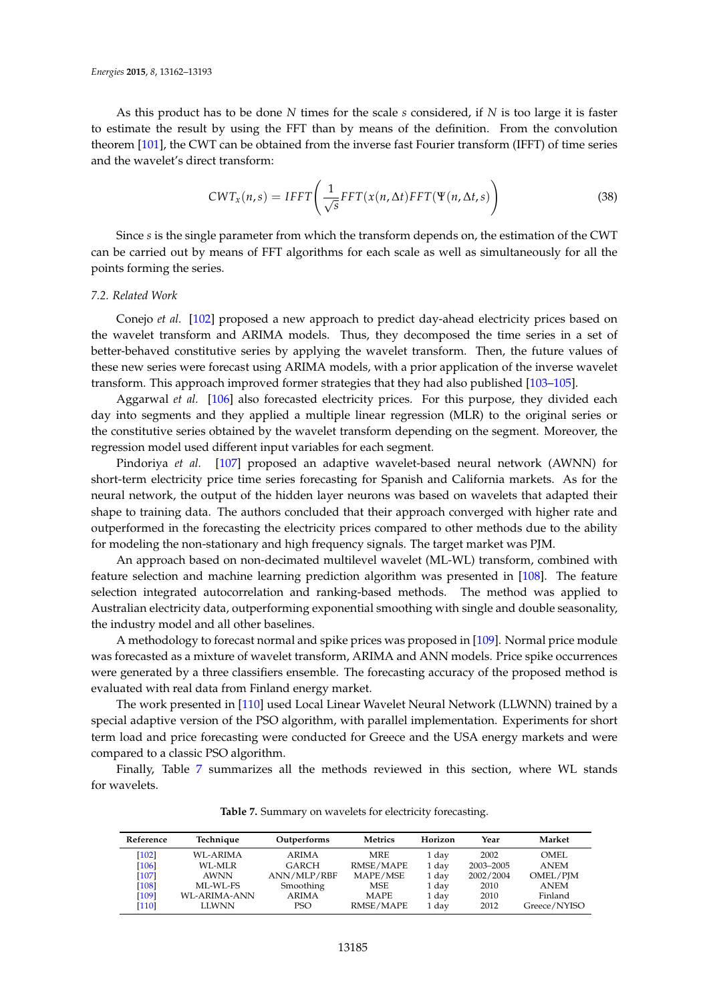As this product has to be done *N* times for the scale *s* considered, if *N* is too large it is faster to estimate the result by using the FFT than by means of the definition. From the convolution theorem [\[101\]](#page-30-12), the CWT can be obtained from the inverse fast Fourier transform (IFFT) of time series and the wavelet's direct transform:

$$
CWT_x(n,s) = IFFT\left(\frac{1}{\sqrt{s}} FFT(x(n,\Delta t)FFT(\Psi(n,\Delta t,s))\right)
$$
\n(38)

Since *s* is the single parameter from which the transform depends on, the estimation of the CWT can be carried out by means of FFT algorithms for each scale as well as simultaneously for all the points forming the series.

# *7.2. Related Work*

Conejo *et al.* [\[102\]](#page-30-13) proposed a new approach to predict day-ahead electricity prices based on the wavelet transform and ARIMA models. Thus, they decomposed the time series in a set of better-behaved constitutive series by applying the wavelet transform. Then, the future values of these new series were forecast using ARIMA models, with a prior application of the inverse wavelet transform. This approach improved former strategies that they had also published [\[103–](#page-30-14)[105\]](#page-30-15).

Aggarwal *et al.* [\[106\]](#page-30-16) also forecasted electricity prices. For this purpose, they divided each day into segments and they applied a multiple linear regression (MLR) to the original series or the constitutive series obtained by the wavelet transform depending on the segment. Moreover, the regression model used different input variables for each segment.

Pindoriya *et al.* [\[107\]](#page-30-17) proposed an adaptive wavelet-based neural network (AWNN) for short-term electricity price time series forecasting for Spanish and California markets. As for the neural network, the output of the hidden layer neurons was based on wavelets that adapted their shape to training data. The authors concluded that their approach converged with higher rate and outperformed in the forecasting the electricity prices compared to other methods due to the ability for modeling the non-stationary and high frequency signals. The target market was PJM.

An approach based on non-decimated multilevel wavelet (ML-WL) transform, combined with feature selection and machine learning prediction algorithm was presented in [\[108\]](#page-30-18). The feature selection integrated autocorrelation and ranking-based methods. The method was applied to Australian electricity data, outperforming exponential smoothing with single and double seasonality, the industry model and all other baselines.

A methodology to forecast normal and spike prices was proposed in [\[109\]](#page-30-19). Normal price module was forecasted as a mixture of wavelet transform, ARIMA and ANN models. Price spike occurrences were generated by a three classifiers ensemble. The forecasting accuracy of the proposed method is evaluated with real data from Finland energy market.

The work presented in [\[110\]](#page-30-20) used Local Linear Wavelet Neural Network (LLWNN) trained by a special adaptive version of the PSO algorithm, with parallel implementation. Experiments for short term load and price forecasting were conducted for Greece and the USA energy markets and were compared to a classic PSO algorithm.

<span id="page-23-0"></span>Finally, Table [7](#page-23-0) summarizes all the methods reviewed in this section, where WL stands for wavelets.

| Reference | Technique    | Outperforms | <b>Metrics</b> | Horizon | Year      | Market       |
|-----------|--------------|-------------|----------------|---------|-----------|--------------|
| $[102]$   | WL-ARIMA     | ARIMA       | <b>MRE</b>     | 1 day   | 2002      | OMEL         |
| $[106]$   | WL-MLR       | GARCH       | RMSE/MAPE      | 1 day   | 2003-2005 | <b>ANEM</b>  |
| $[107]$   | AWNN         | ANN/MLP/RBF | MAPE/MSE       | 1 day   | 2002/2004 | OMEL/PJM     |
| [108]     | ML-WL-FS     | Smoothing   | MSE            | 1 day   | 2010      | <b>ANEM</b>  |
| [109]     | WL-ARIMA-ANN | ARIMA       | <b>MAPE</b>    | 1 day   | 2010      | Finland      |
| [110]     | <b>LLWNN</b> | PSO         | RMSE/MAPE      | 1 day   | 2012      | Greece/NYISO |

**Table 7.** Summary on wavelets for electricity forecasting.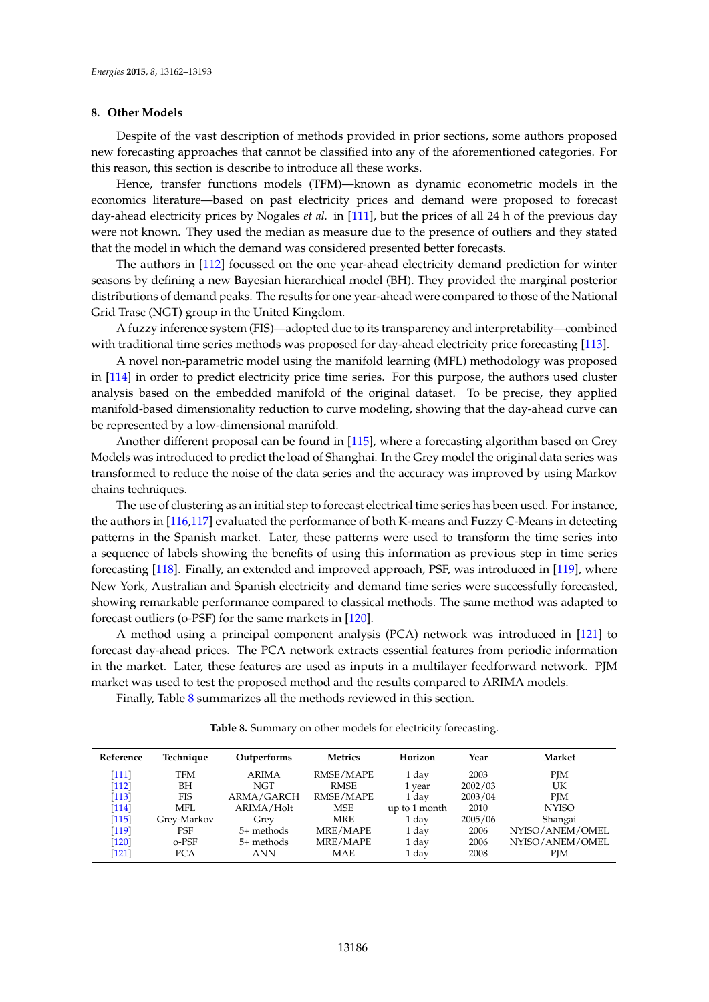# <span id="page-24-0"></span>**8. Other Models**

Despite of the vast description of methods provided in prior sections, some authors proposed new forecasting approaches that cannot be classified into any of the aforementioned categories. For this reason, this section is describe to introduce all these works.

Hence, transfer functions models (TFM)—known as dynamic econometric models in the economics literature—based on past electricity prices and demand were proposed to forecast day-ahead electricity prices by Nogales *et al.* in [\[111\]](#page-30-21), but the prices of all 24 h of the previous day were not known. They used the median as measure due to the presence of outliers and they stated that the model in which the demand was considered presented better forecasts.

The authors in [\[112\]](#page-30-22) focussed on the one year-ahead electricity demand prediction for winter seasons by defining a new Bayesian hierarchical model (BH). They provided the marginal posterior distributions of demand peaks. The results for one year-ahead were compared to those of the National Grid Trasc (NGT) group in the United Kingdom.

A fuzzy inference system (FIS)—adopted due to its transparency and interpretability—combined with traditional time series methods was proposed for day-ahead electricity price forecasting [\[113\]](#page-31-0).

A novel non-parametric model using the manifold learning (MFL) methodology was proposed in [\[114\]](#page-31-1) in order to predict electricity price time series. For this purpose, the authors used cluster analysis based on the embedded manifold of the original dataset. To be precise, they applied manifold-based dimensionality reduction to curve modeling, showing that the day-ahead curve can be represented by a low-dimensional manifold.

Another different proposal can be found in [\[115\]](#page-31-2), where a forecasting algorithm based on Grey Models was introduced to predict the load of Shanghai. In the Grey model the original data series was transformed to reduce the noise of the data series and the accuracy was improved by using Markov chains techniques.

The use of clustering as an initial step to forecast electrical time series has been used. For instance, the authors in [\[116](#page-31-3)[,117\]](#page-31-4) evaluated the performance of both K-means and Fuzzy C-Means in detecting patterns in the Spanish market. Later, these patterns were used to transform the time series into a sequence of labels showing the benefits of using this information as previous step in time series forecasting [\[118\]](#page-31-5). Finally, an extended and improved approach, PSF, was introduced in [\[119\]](#page-31-6), where New York, Australian and Spanish electricity and demand time series were successfully forecasted, showing remarkable performance compared to classical methods. The same method was adapted to forecast outliers (o-PSF) for the same markets in [\[120\]](#page-31-7).

A method using a principal component analysis (PCA) network was introduced in [\[121\]](#page-31-8) to forecast day-ahead prices. The PCA network extracts essential features from periodic information in the market. Later, these features are used as inputs in a multilayer feedforward network. PJM market was used to test the proposed method and the results compared to ARIMA models.

<span id="page-24-1"></span>Finally, Table [8](#page-24-1) summarizes all the methods reviewed in this section.

| Technique   | Outperforms  | Metrics    | Horizon       | Year    | Market          |
|-------------|--------------|------------|---------------|---------|-----------------|
| <b>TFM</b>  | <b>ARIMA</b> | RMSE/MAPE  | 1 day         | 2003    | <b>PIM</b>      |
| BН          | NGT          | RMSE       | 1 year        | 2002/03 | UK              |
| FIS         | ARMA/GARCH   | RMSE/MAPE  | 1 day         | 2003/04 | <b>PJM</b>      |
| MFI.        | ARIMA/Holt   | MSE        | up to 1 month | 2010    | <b>NYISO</b>    |
| Grey-Markov | Grey         | MRE        | 1 day         | 2005/06 | Shangai         |
| <b>PSF</b>  | $5+$ methods | MRE/MAPE   | 1 day         | 2006    | NYISO/ANEM/OMEL |
| o-PSF       | $5+$ methods | MRE/MAPE   | 1 day         | 2006    | NYISO/ANEM/OMEL |
| PCA         | <b>ANN</b>   | <b>MAE</b> | 1 day         | 2008    | <b>PIM</b>      |
|             |              |            |               |         |                 |

**Table 8.** Summary on other models for electricity forecasting.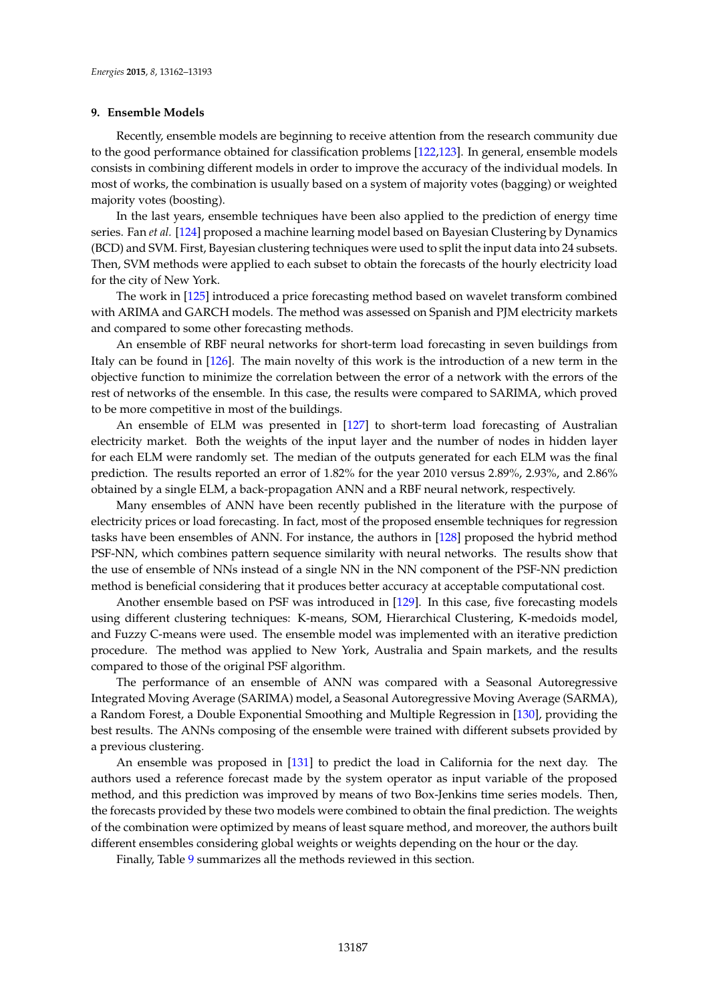# <span id="page-25-0"></span>**9. Ensemble Models**

Recently, ensemble models are beginning to receive attention from the research community due to the good performance obtained for classification problems [\[122,](#page-31-9)[123\]](#page-31-10). In general, ensemble models consists in combining different models in order to improve the accuracy of the individual models. In most of works, the combination is usually based on a system of majority votes (bagging) or weighted majority votes (boosting).

In the last years, ensemble techniques have been also applied to the prediction of energy time series. Fan *et al.* [\[124\]](#page-31-11) proposed a machine learning model based on Bayesian Clustering by Dynamics (BCD) and SVM. First, Bayesian clustering techniques were used to split the input data into 24 subsets. Then, SVM methods were applied to each subset to obtain the forecasts of the hourly electricity load for the city of New York.

The work in [\[125\]](#page-31-12) introduced a price forecasting method based on wavelet transform combined with ARIMA and GARCH models. The method was assessed on Spanish and PJM electricity markets and compared to some other forecasting methods.

An ensemble of RBF neural networks for short-term load forecasting in seven buildings from Italy can be found in [\[126\]](#page-31-13). The main novelty of this work is the introduction of a new term in the objective function to minimize the correlation between the error of a network with the errors of the rest of networks of the ensemble. In this case, the results were compared to SARIMA, which proved to be more competitive in most of the buildings.

An ensemble of ELM was presented in [\[127\]](#page-31-14) to short-term load forecasting of Australian electricity market. Both the weights of the input layer and the number of nodes in hidden layer for each ELM were randomly set. The median of the outputs generated for each ELM was the final prediction. The results reported an error of 1.82% for the year 2010 versus 2.89%, 2.93%, and 2.86% obtained by a single ELM, a back-propagation ANN and a RBF neural network, respectively.

Many ensembles of ANN have been recently published in the literature with the purpose of electricity prices or load forecasting. In fact, most of the proposed ensemble techniques for regression tasks have been ensembles of ANN. For instance, the authors in [\[128\]](#page-31-15) proposed the hybrid method PSF-NN, which combines pattern sequence similarity with neural networks. The results show that the use of ensemble of NNs instead of a single NN in the NN component of the PSF-NN prediction method is beneficial considering that it produces better accuracy at acceptable computational cost.

Another ensemble based on PSF was introduced in [\[129\]](#page-31-16). In this case, five forecasting models using different clustering techniques: K-means, SOM, Hierarchical Clustering, K-medoids model, and Fuzzy C-means were used. The ensemble model was implemented with an iterative prediction procedure. The method was applied to New York, Australia and Spain markets, and the results compared to those of the original PSF algorithm.

The performance of an ensemble of ANN was compared with a Seasonal Autoregressive Integrated Moving Average (SARIMA) model, a Seasonal Autoregressive Moving Average (SARMA), a Random Forest, a Double Exponential Smoothing and Multiple Regression in [\[130\]](#page-31-17), providing the best results. The ANNs composing of the ensemble were trained with different subsets provided by a previous clustering.

An ensemble was proposed in [\[131\]](#page-31-18) to predict the load in California for the next day. The authors used a reference forecast made by the system operator as input variable of the proposed method, and this prediction was improved by means of two Box-Jenkins time series models. Then, the forecasts provided by these two models were combined to obtain the final prediction. The weights of the combination were optimized by means of least square method, and moreover, the authors built different ensembles considering global weights or weights depending on the hour or the day.

Finally, Table [9](#page-26-6) summarizes all the methods reviewed in this section.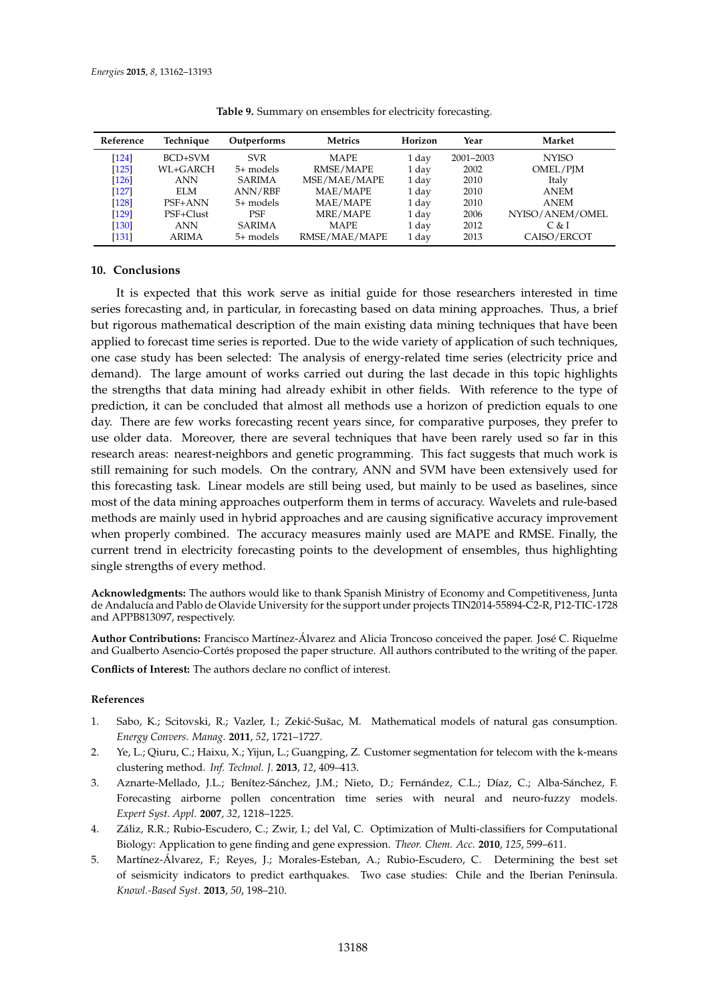<span id="page-26-6"></span>

| Reference | Technique    | Outperforms   | <b>Metrics</b> | Horizon | Year      | Market          |
|-----------|--------------|---------------|----------------|---------|-----------|-----------------|
| $[124]$   | BCD+SVM      | <b>SVR</b>    | <b>MAPE</b>    | 1 day   | 2001-2003 | <b>NYISO</b>    |
| $[125]$   | WL+GARCH     | $5+$ models   | RMSE/MAPE      | 1 day   | 2002      | OMEL/PJM        |
| $[126]$   | <b>ANN</b>   | <b>SARIMA</b> | MSE/MAE/MAPE   | 1 day   | 2010      | Italy           |
| $[127]$   | ELM          | ANN/RBF       | MAE/MAPE       | 1 day   | 2010      | <b>ANEM</b>     |
| $[128]$   | PSF+ANN      | $5+$ models   | MAE/MAPE       | 1 day   | 2010      | <b>ANEM</b>     |
| $[129]$   | PSF+Clust    | <b>PSF</b>    | MRE/MAPE       | 1 day   | 2006      | NYISO/ANEM/OMEL |
| $[130]$   | <b>ANN</b>   | <b>SARIMA</b> | <b>MAPE</b>    | 1 day   | 2012      | C & I           |
| [131]     | <b>ARIMA</b> | $5+$ models   | RMSE/MAE/MAPE  | 1 day   | 2013      | CAISO/ERCOT     |

**Table 9.** Summary on ensembles for electricity forecasting.

# <span id="page-26-5"></span>**10. Conclusions**

It is expected that this work serve as initial guide for those researchers interested in time series forecasting and, in particular, in forecasting based on data mining approaches. Thus, a brief but rigorous mathematical description of the main existing data mining techniques that have been applied to forecast time series is reported. Due to the wide variety of application of such techniques, one case study has been selected: The analysis of energy-related time series (electricity price and demand). The large amount of works carried out during the last decade in this topic highlights the strengths that data mining had already exhibit in other fields. With reference to the type of prediction, it can be concluded that almost all methods use a horizon of prediction equals to one day. There are few works forecasting recent years since, for comparative purposes, they prefer to use older data. Moreover, there are several techniques that have been rarely used so far in this research areas: nearest-neighbors and genetic programming. This fact suggests that much work is still remaining for such models. On the contrary, ANN and SVM have been extensively used for this forecasting task. Linear models are still being used, but mainly to be used as baselines, since most of the data mining approaches outperform them in terms of accuracy. Wavelets and rule-based methods are mainly used in hybrid approaches and are causing significative accuracy improvement when properly combined. The accuracy measures mainly used are MAPE and RMSE. Finally, the current trend in electricity forecasting points to the development of ensembles, thus highlighting single strengths of every method.

**Acknowledgments:** The authors would like to thank Spanish Ministry of Economy and Competitiveness, Junta de Andalucía and Pablo de Olavide University for the support under projects TIN2014-55894-C2-R, P12-TIC-1728 and APPB813097, respectively.

**Author Contributions:** Francisco Martínez-Álvarez and Alicia Troncoso conceived the paper. José C. Riquelme and Gualberto Asencio-Cortés proposed the paper structure. All authors contributed to the writing of the paper.

**Conflicts of Interest:** The authors declare no conflict of interest.

# **References**

- <span id="page-26-0"></span>1. Sabo, K.; Scitovski, R.; Vazler, I.; Zekić-Sušac, M. Mathematical models of natural gas consumption. *Energy Convers. Manag.* **2011**, *52*, 1721–1727.
- <span id="page-26-1"></span>2. Ye, L.; Qiuru, C.; Haixu, X.; Yijun, L.; Guangping, Z. Customer segmentation for telecom with the k-means clustering method. *Inf. Technol. J.* **2013**, *12*, 409–413.
- <span id="page-26-2"></span>3. Aznarte-Mellado, J.L.; Benítez-Sánchez, J.M.; Nieto, D.; Fernández, C.L.; Díaz, C.; Alba-Sánchez, F. Forecasting airborne pollen concentration time series with neural and neuro-fuzzy models. *Expert Syst. Appl.* **2007**, *32*, 1218–1225.
- <span id="page-26-3"></span>4. Záliz, R.R.; Rubio-Escudero, C.; Zwir, I.; del Val, C. Optimization of Multi-classifiers for Computational Biology: Application to gene finding and gene expression. *Theor. Chem. Acc.* **2010**, *125*, 599–611.
- <span id="page-26-4"></span>5. Martínez-Álvarez, F.; Reyes, J.; Morales-Esteban, A.; Rubio-Escudero, C. Determining the best set of seismicity indicators to predict earthquakes. Two case studies: Chile and the Iberian Peninsula. *Knowl.-Based Syst.* **2013**, *50*, 198–210.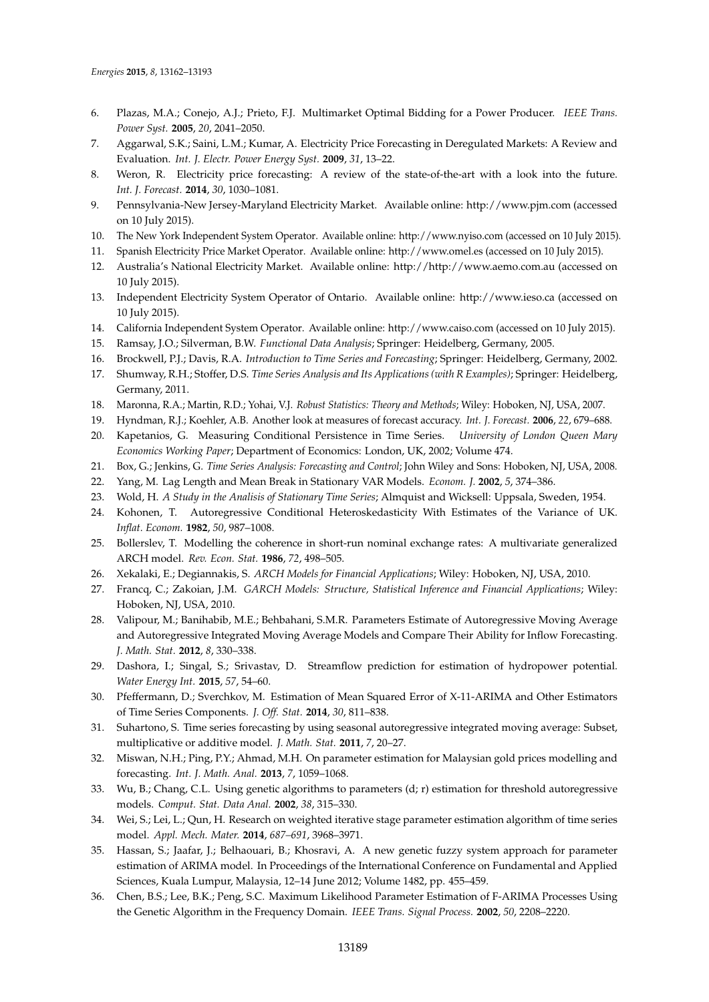- <span id="page-27-0"></span>6. Plazas, M.A.; Conejo, A.J.; Prieto, F.J. Multimarket Optimal Bidding for a Power Producer. *IEEE Trans. Power Syst.* **2005**, *20*, 2041–2050.
- <span id="page-27-1"></span>7. Aggarwal, S.K.; Saini, L.M.; Kumar, A. Electricity Price Forecasting in Deregulated Markets: A Review and Evaluation. *Int. J. Electr. Power Energy Syst.* **2009**, *31*, 13–22.
- <span id="page-27-2"></span>8. Weron, R. Electricity price forecasting: A review of the state-of-the-art with a look into the future. *Int. J. Forecast.* **2014**, *30*, 1030–1081.
- <span id="page-27-3"></span>9. Pennsylvania-New Jersey-Maryland Electricity Market. Available online: http://www.pjm.com (accessed on 10 July 2015).
- <span id="page-27-4"></span>10. The New York Independent System Operator. Available online: http://www.nyiso.com (accessed on 10 July 2015).
- <span id="page-27-5"></span>11. Spanish Electricity Price Market Operator. Available online: http://www.omel.es (accessed on 10 July 2015).
- <span id="page-27-6"></span>12. Australia's National Electricity Market. Available online: http://http://www.aemo.com.au (accessed on 10 July 2015).
- <span id="page-27-7"></span>13. Independent Electricity System Operator of Ontario. Available online: http://www.ieso.ca (accessed on 10 July 2015).
- <span id="page-27-8"></span>14. California Independent System Operator. Available online: http://www.caiso.com (accessed on 10 July 2015).
- <span id="page-27-9"></span>15. Ramsay, J.O.; Silverman, B.W. *Functional Data Analysis*; Springer: Heidelberg, Germany, 2005.
- <span id="page-27-10"></span>16. Brockwell, P.J.; Davis, R.A. *Introduction to Time Series and Forecasting*; Springer: Heidelberg, Germany, 2002.
- <span id="page-27-11"></span>17. Shumway, R.H.; Stoffer, D.S. *Time Series Analysis and Its Applications (with R Examples)*; Springer: Heidelberg, Germany, 2011.
- <span id="page-27-12"></span>18. Maronna, R.A.; Martin, R.D.; Yohai, V.J. *Robust Statistics: Theory and Methods*; Wiley: Hoboken, NJ, USA, 2007.
- <span id="page-27-13"></span>19. Hyndman, R.J.; Koehler, A.B. Another look at measures of forecast accuracy. *Int. J. Forecast.* **2006**, *22*, 679–688.
- <span id="page-27-14"></span>20. Kapetanios, G. Measuring Conditional Persistence in Time Series. *University of London Queen Mary Economics Working Paper*; Department of Economics: London, UK, 2002; Volume 474.
- <span id="page-27-15"></span>21. Box, G.; Jenkins, G. *Time Series Analysis: Forecasting and Control*; John Wiley and Sons: Hoboken, NJ, USA, 2008.
- <span id="page-27-16"></span>22. Yang, M. Lag Length and Mean Break in Stationary VAR Models. *Econom. J.* **2002**, *5*, 374–386.
- <span id="page-27-17"></span>23. Wold, H. *A Study in the Analisis of Stationary Time Series*; Almquist and Wicksell: Uppsala, Sweden, 1954.
- <span id="page-27-18"></span>24. Kohonen, T. Autoregressive Conditional Heteroskedasticity With Estimates of the Variance of UK. *Inflat. Econom.* **1982**, *50*, 987–1008.
- <span id="page-27-19"></span>25. Bollerslev, T. Modelling the coherence in short-run nominal exchange rates: A multivariate generalized ARCH model. *Rev. Econ. Stat.* **1986**, *72*, 498–505.
- <span id="page-27-20"></span>26. Xekalaki, E.; Degiannakis, S. *ARCH Models for Financial Applications*; Wiley: Hoboken, NJ, USA, 2010.
- <span id="page-27-21"></span>27. Francq, C.; Zakoian, J.M. *GARCH Models: Structure, Statistical Inference and Financial Applications*; Wiley: Hoboken, NJ, USA, 2010.
- <span id="page-27-22"></span>28. Valipour, M.; Banihabib, M.E.; Behbahani, S.M.R. Parameters Estimate of Autoregressive Moving Average and Autoregressive Integrated Moving Average Models and Compare Their Ability for Inflow Forecasting. *J. Math. Stat.* **2012**, *8*, 330–338.
- 29. Dashora, I.; Singal, S.; Srivastav, D. Streamflow prediction for estimation of hydropower potential. *Water Energy Int.* **2015**, *57*, 54–60.
- 30. Pfeffermann, D.; Sverchkov, M. Estimation of Mean Squared Error of X-11-ARIMA and Other Estimators of Time Series Components. *J. Off. Stat.* **2014**, *30*, 811–838.
- <span id="page-27-23"></span>31. Suhartono, S. Time series forecasting by using seasonal autoregressive integrated moving average: Subset, multiplicative or additive model. *J. Math. Stat.* **2011**, *7*, 20–27.
- <span id="page-27-24"></span>32. Miswan, N.H.; Ping, P.Y.; Ahmad, M.H. On parameter estimation for Malaysian gold prices modelling and forecasting. *Int. J. Math. Anal.* **2013**, *7*, 1059–1068.
- <span id="page-27-25"></span>33. Wu, B.; Chang, C.L. Using genetic algorithms to parameters (d; r) estimation for threshold autoregressive models. *Comput. Stat. Data Anal.* **2002**, *38*, 315–330.
- <span id="page-27-26"></span>34. Wei, S.; Lei, L.; Qun, H. Research on weighted iterative stage parameter estimation algorithm of time series model. *Appl. Mech. Mater.* **2014**, *687–691*, 3968–3971.
- <span id="page-27-27"></span>35. Hassan, S.; Jaafar, J.; Belhaouari, B.; Khosravi, A. A new genetic fuzzy system approach for parameter estimation of ARIMA model. In Proceedings of the International Conference on Fundamental and Applied Sciences, Kuala Lumpur, Malaysia, 12–14 June 2012; Volume 1482, pp. 455–459.
- <span id="page-27-28"></span>36. Chen, B.S.; Lee, B.K.; Peng, S.C. Maximum Likelihood Parameter Estimation of F-ARIMA Processes Using the Genetic Algorithm in the Frequency Domain. *IEEE Trans. Signal Process.* **2002**, *50*, 2208–2220.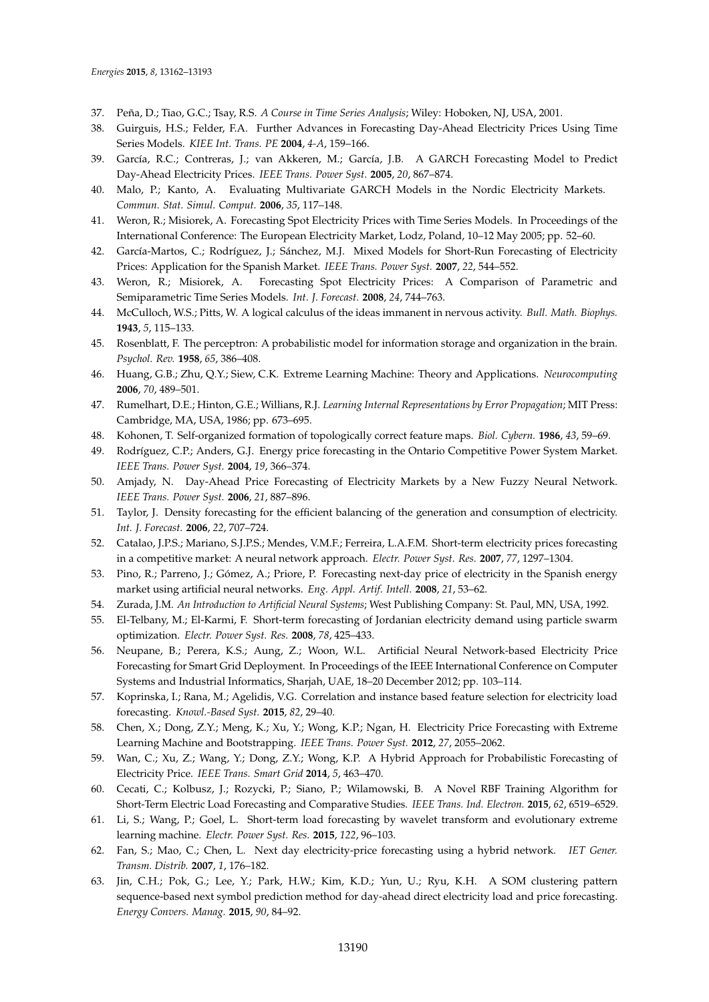- <span id="page-28-0"></span>37. Peña, D.; Tiao, G.C.; Tsay, R.S. *A Course in Time Series Analysis*; Wiley: Hoboken, NJ, USA, 2001.
- <span id="page-28-1"></span>38. Guirguis, H.S.; Felder, F.A. Further Advances in Forecasting Day-Ahead Electricity Prices Using Time Series Models. *KIEE Int. Trans. PE* **2004**, *4-A*, 159–166.
- <span id="page-28-2"></span>39. García, R.C.; Contreras, J.; van Akkeren, M.; García, J.B. A GARCH Forecasting Model to Predict Day-Ahead Electricity Prices. *IEEE Trans. Power Syst.* **2005**, *20*, 867–874.
- <span id="page-28-3"></span>40. Malo, P.; Kanto, A. Evaluating Multivariate GARCH Models in the Nordic Electricity Markets. *Commun. Stat. Simul. Comput.* **2006**, *35*, 117–148.
- <span id="page-28-4"></span>41. Weron, R.; Misiorek, A. Forecasting Spot Electricity Prices with Time Series Models. In Proceedings of the International Conference: The European Electricity Market, Lodz, Poland, 10–12 May 2005; pp. 52–60.
- <span id="page-28-5"></span>42. García-Martos, C.; Rodríguez, J.; Sánchez, M.J. Mixed Models for Short-Run Forecasting of Electricity Prices: Application for the Spanish Market. *IEEE Trans. Power Syst.* **2007**, *22*, 544–552.
- <span id="page-28-6"></span>43. Weron, R.; Misiorek, A. Forecasting Spot Electricity Prices: A Comparison of Parametric and Semiparametric Time Series Models. *Int. J. Forecast.* **2008**, *24*, 744–763.
- <span id="page-28-7"></span>44. McCulloch, W.S.; Pitts, W. A logical calculus of the ideas immanent in nervous activity. *Bull. Math. Biophys.* **1943**, *5*, 115–133.
- <span id="page-28-8"></span>45. Rosenblatt, F. The perceptron: A probabilistic model for information storage and organization in the brain. *Psychol. Rev.* **1958**, *65*, 386–408.
- <span id="page-28-9"></span>46. Huang, G.B.; Zhu, Q.Y.; Siew, C.K. Extreme Learning Machine: Theory and Applications. *Neurocomputing* **2006**, *70*, 489–501.
- <span id="page-28-10"></span>47. Rumelhart, D.E.; Hinton, G.E.; Willians, R.J. *Learning Internal Representations by Error Propagation*; MIT Press: Cambridge, MA, USA, 1986; pp. 673–695.
- <span id="page-28-11"></span>48. Kohonen, T. Self-organized formation of topologically correct feature maps. *Biol. Cybern.* **1986**, *43*, 59–69.
- <span id="page-28-12"></span>49. Rodríguez, C.P.; Anders, G.J. Energy price forecasting in the Ontario Competitive Power System Market. *IEEE Trans. Power Syst.* **2004**, *19*, 366–374.
- <span id="page-28-13"></span>50. Amjady, N. Day-Ahead Price Forecasting of Electricity Markets by a New Fuzzy Neural Network. *IEEE Trans. Power Syst.* **2006**, *21*, 887–896.
- <span id="page-28-14"></span>51. Taylor, J. Density forecasting for the efficient balancing of the generation and consumption of electricity. *Int. J. Forecast.* **2006**, *22*, 707–724.
- <span id="page-28-15"></span>52. Catalao, J.P.S.; Mariano, S.J.P.S.; Mendes, V.M.F.; Ferreira, L.A.F.M. Short-term electricity prices forecasting in a competitive market: A neural network approach. *Electr. Power Syst. Res.* **2007**, *77*, 1297–1304.
- <span id="page-28-16"></span>53. Pino, R.; Parreno, J.; Gómez, A.; Priore, P. Forecasting next-day price of electricity in the Spanish energy market using artificial neural networks. *Eng. Appl. Artif. Intell.* **2008**, *21*, 53–62.
- <span id="page-28-17"></span>54. Zurada, J.M. *An Introduction to Artificial Neural Systems*; West Publishing Company: St. Paul, MN, USA, 1992.
- <span id="page-28-18"></span>55. El-Telbany, M.; El-Karmi, F. Short-term forecasting of Jordanian electricity demand using particle swarm optimization. *Electr. Power Syst. Res.* **2008**, *78*, 425–433.
- <span id="page-28-19"></span>56. Neupane, B.; Perera, K.S.; Aung, Z.; Woon, W.L. Artificial Neural Network-based Electricity Price Forecasting for Smart Grid Deployment. In Proceedings of the IEEE International Conference on Computer Systems and Industrial Informatics, Sharjah, UAE, 18–20 December 2012; pp. 103–114.
- <span id="page-28-20"></span>57. Koprinska, I.; Rana, M.; Agelidis, V.G. Correlation and instance based feature selection for electricity load forecasting. *Knowl.-Based Syst.* **2015**, *82*, 29–40.
- <span id="page-28-21"></span>58. Chen, X.; Dong, Z.Y.; Meng, K.; Xu, Y.; Wong, K.P.; Ngan, H. Electricity Price Forecasting with Extreme Learning Machine and Bootstrapping. *IEEE Trans. Power Syst.* **2012**, *27*, 2055–2062.
- <span id="page-28-22"></span>59. Wan, C.; Xu, Z.; Wang, Y.; Dong, Z.Y.; Wong, K.P. A Hybrid Approach for Probabilistic Forecasting of Electricity Price. *IEEE Trans. Smart Grid* **2014**, *5*, 463–470.
- <span id="page-28-23"></span>60. Cecati, C.; Kolbusz, J.; Rozycki, P.; Siano, P.; Wilamowski, B. A Novel RBF Training Algorithm for Short-Term Electric Load Forecasting and Comparative Studies. *IEEE Trans. Ind. Electron.* **2015**, *62*, 6519–6529.
- <span id="page-28-24"></span>61. Li, S.; Wang, P.; Goel, L. Short-term load forecasting by wavelet transform and evolutionary extreme learning machine. *Electr. Power Syst. Res.* **2015**, *122*, 96–103.
- <span id="page-28-25"></span>62. Fan, S.; Mao, C.; Chen, L. Next day electricity-price forecasting using a hybrid network. *IET Gener. Transm. Distrib.* **2007**, *1*, 176–182.
- <span id="page-28-26"></span>63. Jin, C.H.; Pok, G.; Lee, Y.; Park, H.W.; Kim, K.D.; Yun, U.; Ryu, K.H. A SOM clustering pattern sequence-based next symbol prediction method for day-ahead direct electricity load and price forecasting. *Energy Convers. Manag.* **2015**, *90*, 84–92.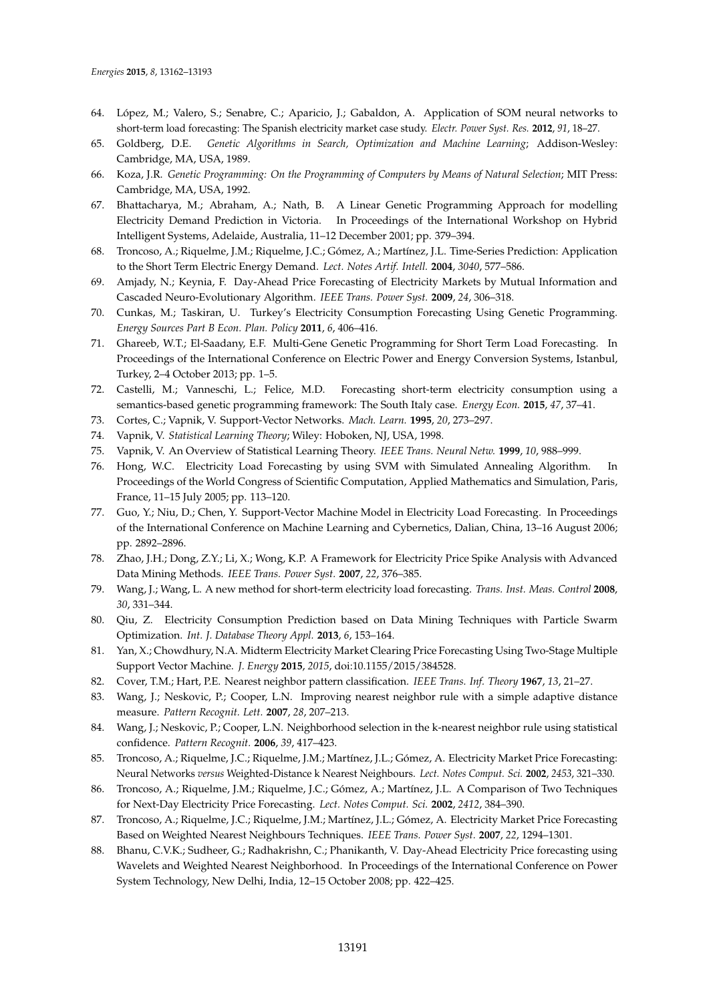- <span id="page-29-0"></span>64. López, M.; Valero, S.; Senabre, C.; Aparicio, J.; Gabaldon, A. Application of SOM neural networks to short-term load forecasting: The Spanish electricity market case study. *Electr. Power Syst. Res.* **2012**, *91*, 18–27.
- <span id="page-29-1"></span>65. Goldberg, D.E. *Genetic Algorithms in Search, Optimization and Machine Learning*; Addison-Wesley: Cambridge, MA, USA, 1989.
- <span id="page-29-2"></span>66. Koza, J.R. *Genetic Programming: On the Programming of Computers by Means of Natural Selection*; MIT Press: Cambridge, MA, USA, 1992.
- <span id="page-29-3"></span>67. Bhattacharya, M.; Abraham, A.; Nath, B. A Linear Genetic Programming Approach for modelling Electricity Demand Prediction in Victoria. In Proceedings of the International Workshop on Hybrid Intelligent Systems, Adelaide, Australia, 11–12 December 2001; pp. 379–394.
- <span id="page-29-4"></span>68. Troncoso, A.; Riquelme, J.M.; Riquelme, J.C.; Gómez, A.; Martínez, J.L. Time-Series Prediction: Application to the Short Term Electric Energy Demand. *Lect. Notes Artif. Intell.* **2004**, *3040*, 577–586.
- <span id="page-29-5"></span>69. Amjady, N.; Keynia, F. Day-Ahead Price Forecasting of Electricity Markets by Mutual Information and Cascaded Neuro-Evolutionary Algorithm. *IEEE Trans. Power Syst.* **2009**, *24*, 306–318.
- <span id="page-29-6"></span>70. Cunkas, M.; Taskiran, U. Turkey's Electricity Consumption Forecasting Using Genetic Programming. *Energy Sources Part B Econ. Plan. Policy* **2011**, *6*, 406–416.
- <span id="page-29-7"></span>71. Ghareeb, W.T.; El-Saadany, E.F. Multi-Gene Genetic Programming for Short Term Load Forecasting. In Proceedings of the International Conference on Electric Power and Energy Conversion Systems, Istanbul, Turkey, 2–4 October 2013; pp. 1–5.
- <span id="page-29-8"></span>72. Castelli, M.; Vanneschi, L.; Felice, M.D. Forecasting short-term electricity consumption using a semantics-based genetic programming framework: The South Italy case. *Energy Econ.* **2015**, *47*, 37–41.
- <span id="page-29-9"></span>73. Cortes, C.; Vapnik, V. Support-Vector Networks. *Mach. Learn.* **1995**, *20*, 273–297.
- <span id="page-29-10"></span>74. Vapnik, V. *Statistical Learning Theory*; Wiley: Hoboken, NJ, USA, 1998.
- <span id="page-29-11"></span>75. Vapnik, V. An Overview of Statistical Learning Theory. *IEEE Trans. Neural Netw.* **1999**, *10*, 988–999.
- <span id="page-29-12"></span>76. Hong, W.C. Electricity Load Forecasting by using SVM with Simulated Annealing Algorithm. In Proceedings of the World Congress of Scientific Computation, Applied Mathematics and Simulation, Paris, France, 11–15 July 2005; pp. 113–120.
- <span id="page-29-13"></span>77. Guo, Y.; Niu, D.; Chen, Y. Support-Vector Machine Model in Electricity Load Forecasting. In Proceedings of the International Conference on Machine Learning and Cybernetics, Dalian, China, 13–16 August 2006; pp. 2892–2896.
- <span id="page-29-14"></span>78. Zhao, J.H.; Dong, Z.Y.; Li, X.; Wong, K.P. A Framework for Electricity Price Spike Analysis with Advanced Data Mining Methods. *IEEE Trans. Power Syst.* **2007**, *22*, 376–385.
- <span id="page-29-15"></span>79. Wang, J.; Wang, L. A new method for short-term electricity load forecasting. *Trans. Inst. Meas. Control* **2008**, *30*, 331–344.
- <span id="page-29-16"></span>80. Qiu, Z. Electricity Consumption Prediction based on Data Mining Techniques with Particle Swarm Optimization. *Int. J. Database Theory Appl.* **2013**, *6*, 153–164.
- <span id="page-29-17"></span>81. Yan, X.; Chowdhury, N.A. Midterm Electricity Market Clearing Price Forecasting Using Two-Stage Multiple Support Vector Machine. *J. Energy* **2015**, *2015*, doi:10.1155/2015/384528.
- <span id="page-29-18"></span>82. Cover, T.M.; Hart, P.E. Nearest neighbor pattern classification. *IEEE Trans. Inf. Theory* **1967**, *13*, 21–27.
- <span id="page-29-19"></span>83. Wang, J.; Neskovic, P.; Cooper, L.N. Improving nearest neighbor rule with a simple adaptive distance measure. *Pattern Recognit. Lett.* **2007**, *28*, 207–213.
- <span id="page-29-20"></span>84. Wang, J.; Neskovic, P.; Cooper, L.N. Neighborhood selection in the k-nearest neighbor rule using statistical confidence. *Pattern Recognit.* **2006**, *39*, 417–423.
- <span id="page-29-21"></span>85. Troncoso, A.; Riquelme, J.C.; Riquelme, J.M.; Martínez, J.L.; Gómez, A. Electricity Market Price Forecasting: Neural Networks *versus* Weighted-Distance k Nearest Neighbours. *Lect. Notes Comput. Sci.* **2002**, *2453*, 321–330.
- <span id="page-29-22"></span>86. Troncoso, A.; Riquelme, J.M.; Riquelme, J.C.; Gómez, A.; Martínez, J.L. A Comparison of Two Techniques for Next-Day Electricity Price Forecasting. *Lect. Notes Comput. Sci.* **2002**, *2412*, 384–390.
- <span id="page-29-23"></span>87. Troncoso, A.; Riquelme, J.C.; Riquelme, J.M.; Martínez, J.L.; Gómez, A. Electricity Market Price Forecasting Based on Weighted Nearest Neighbours Techniques. *IEEE Trans. Power Syst.* **2007**, *22*, 1294–1301.
- <span id="page-29-24"></span>88. Bhanu, C.V.K.; Sudheer, G.; Radhakrishn, C.; Phanikanth, V. Day-Ahead Electricity Price forecasting using Wavelets and Weighted Nearest Neighborhood. In Proceedings of the International Conference on Power System Technology, New Delhi, India, 12–15 October 2008; pp. 422–425.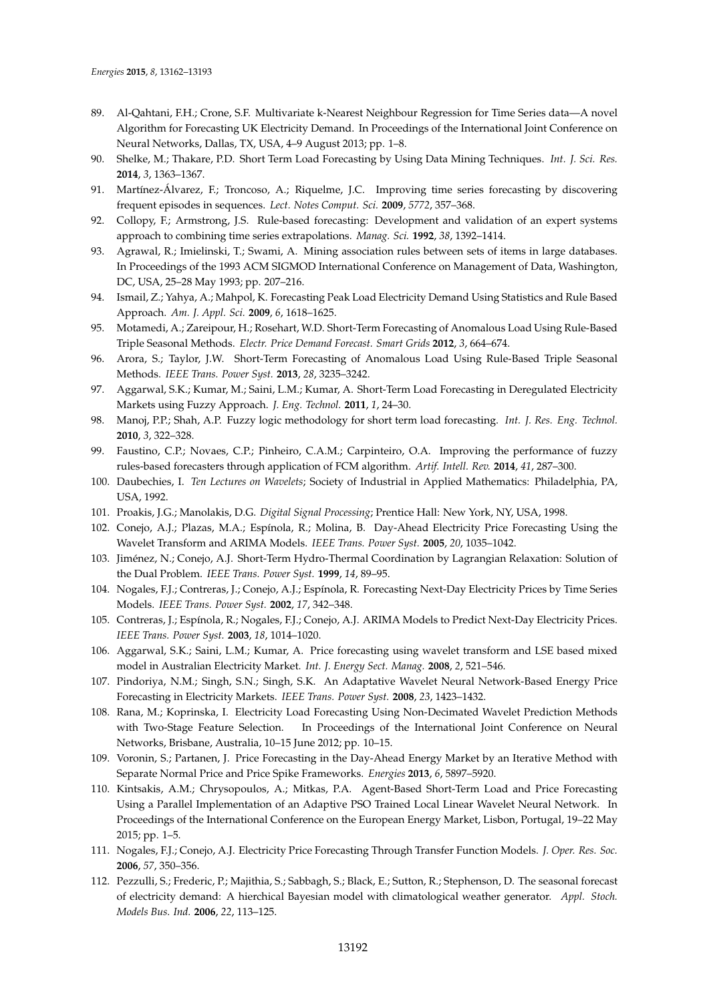- <span id="page-30-0"></span>89. Al-Qahtani, F.H.; Crone, S.F. Multivariate k-Nearest Neighbour Regression for Time Series data—A novel Algorithm for Forecasting UK Electricity Demand. In Proceedings of the International Joint Conference on Neural Networks, Dallas, TX, USA, 4–9 August 2013; pp. 1–8.
- <span id="page-30-1"></span>90. Shelke, M.; Thakare, P.D. Short Term Load Forecasting by Using Data Mining Techniques. *Int. J. Sci. Res.* **2014**, *3*, 1363–1367.
- <span id="page-30-2"></span>91. Martínez-Álvarez, F.; Troncoso, A.; Riquelme, J.C. Improving time series forecasting by discovering frequent episodes in sequences. *Lect. Notes Comput. Sci.* **2009**, *5772*, 357–368.
- <span id="page-30-3"></span>92. Collopy, F.; Armstrong, J.S. Rule-based forecasting: Development and validation of an expert systems approach to combining time series extrapolations. *Manag. Sci.* **1992**, *38*, 1392–1414.
- <span id="page-30-4"></span>93. Agrawal, R.; Imielinski, T.; Swami, A. Mining association rules between sets of items in large databases. In Proceedings of the 1993 ACM SIGMOD International Conference on Management of Data, Washington, DC, USA, 25–28 May 1993; pp. 207–216.
- <span id="page-30-5"></span>94. Ismail, Z.; Yahya, A.; Mahpol, K. Forecasting Peak Load Electricity Demand Using Statistics and Rule Based Approach. *Am. J. Appl. Sci.* **2009**, *6*, 1618–1625.
- <span id="page-30-6"></span>95. Motamedi, A.; Zareipour, H.; Rosehart, W.D. Short-Term Forecasting of Anomalous Load Using Rule-Based Triple Seasonal Methods. *Electr. Price Demand Forecast. Smart Grids* **2012**, *3*, 664–674.
- <span id="page-30-7"></span>96. Arora, S.; Taylor, J.W. Short-Term Forecasting of Anomalous Load Using Rule-Based Triple Seasonal Methods. *IEEE Trans. Power Syst.* **2013**, *28*, 3235–3242.
- <span id="page-30-8"></span>97. Aggarwal, S.K.; Kumar, M.; Saini, L.M.; Kumar, A. Short-Term Load Forecasting in Deregulated Electricity Markets using Fuzzy Approach. *J. Eng. Technol.* **2011**, *1*, 24–30.
- <span id="page-30-9"></span>98. Manoj, P.P.; Shah, A.P. Fuzzy logic methodology for short term load forecasting. *Int. J. Res. Eng. Technol.* **2010**, *3*, 322–328.
- <span id="page-30-10"></span>99. Faustino, C.P.; Novaes, C.P.; Pinheiro, C.A.M.; Carpinteiro, O.A. Improving the performance of fuzzy rules-based forecasters through application of FCM algorithm. *Artif. Intell. Rev.* **2014**, *41*, 287–300.
- <span id="page-30-11"></span>100. Daubechies, I. *Ten Lectures on Wavelets*; Society of Industrial in Applied Mathematics: Philadelphia, PA, USA, 1992.
- <span id="page-30-12"></span>101. Proakis, J.G.; Manolakis, D.G. *Digital Signal Processing*; Prentice Hall: New York, NY, USA, 1998.
- <span id="page-30-13"></span>102. Conejo, A.J.; Plazas, M.A.; Espínola, R.; Molina, B. Day-Ahead Electricity Price Forecasting Using the Wavelet Transform and ARIMA Models. *IEEE Trans. Power Syst.* **2005**, *20*, 1035–1042.
- <span id="page-30-14"></span>103. Jiménez, N.; Conejo, A.J. Short-Term Hydro-Thermal Coordination by Lagrangian Relaxation: Solution of the Dual Problem. *IEEE Trans. Power Syst.* **1999**, *14*, 89–95.
- 104. Nogales, F.J.; Contreras, J.; Conejo, A.J.; Espínola, R. Forecasting Next-Day Electricity Prices by Time Series Models. *IEEE Trans. Power Syst.* **2002**, *17*, 342–348.
- <span id="page-30-15"></span>105. Contreras, J.; Espínola, R.; Nogales, F.J.; Conejo, A.J. ARIMA Models to Predict Next-Day Electricity Prices. *IEEE Trans. Power Syst.* **2003**, *18*, 1014–1020.
- <span id="page-30-16"></span>106. Aggarwal, S.K.; Saini, L.M.; Kumar, A. Price forecasting using wavelet transform and LSE based mixed model in Australian Electricity Market. *Int. J. Energy Sect. Manag.* **2008**, *2*, 521–546.
- <span id="page-30-17"></span>107. Pindoriya, N.M.; Singh, S.N.; Singh, S.K. An Adaptative Wavelet Neural Network-Based Energy Price Forecasting in Electricity Markets. *IEEE Trans. Power Syst.* **2008**, *23*, 1423–1432.
- <span id="page-30-18"></span>108. Rana, M.; Koprinska, I. Electricity Load Forecasting Using Non-Decimated Wavelet Prediction Methods with Two-Stage Feature Selection. In Proceedings of the International Joint Conference on Neural Networks, Brisbane, Australia, 10–15 June 2012; pp. 10–15.
- <span id="page-30-19"></span>109. Voronin, S.; Partanen, J. Price Forecasting in the Day-Ahead Energy Market by an Iterative Method with Separate Normal Price and Price Spike Frameworks. *Energies* **2013**, *6*, 5897–5920.
- <span id="page-30-20"></span>110. Kintsakis, A.M.; Chrysopoulos, A.; Mitkas, P.A. Agent-Based Short-Term Load and Price Forecasting Using a Parallel Implementation of an Adaptive PSO Trained Local Linear Wavelet Neural Network. In Proceedings of the International Conference on the European Energy Market, Lisbon, Portugal, 19–22 May 2015; pp. 1–5.
- <span id="page-30-21"></span>111. Nogales, F.J.; Conejo, A.J. Electricity Price Forecasting Through Transfer Function Models. *J. Oper. Res. Soc.* **2006**, *57*, 350–356.
- <span id="page-30-22"></span>112. Pezzulli, S.; Frederic, P.; Majithia, S.; Sabbagh, S.; Black, E.; Sutton, R.; Stephenson, D. The seasonal forecast of electricity demand: A hierchical Bayesian model with climatological weather generator. *Appl. Stoch. Models Bus. Ind.* **2006**, *22*, 113–125.